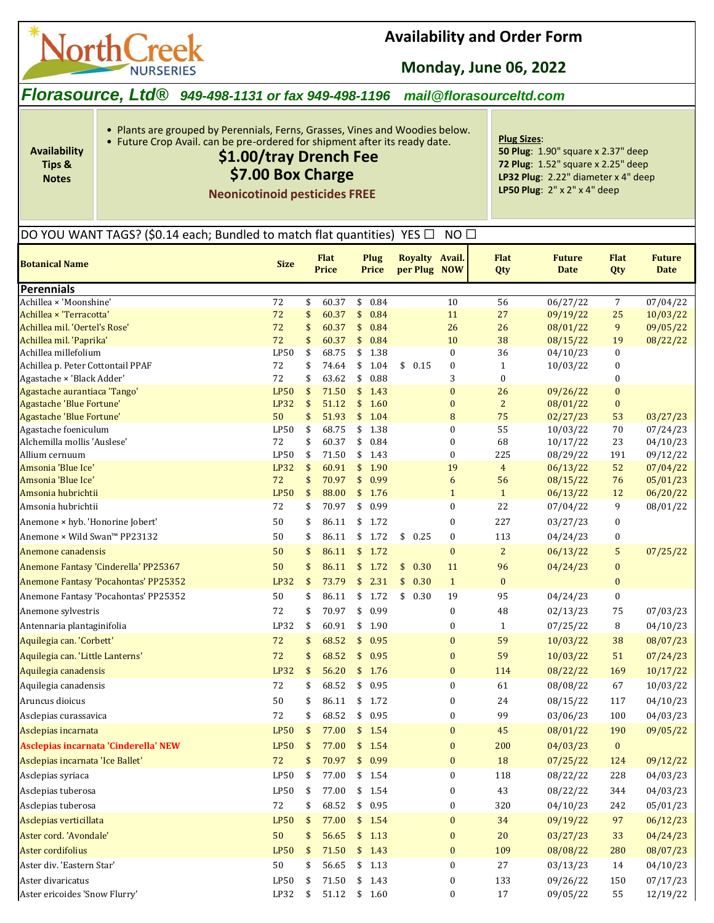

**Availability Tips & Notes**

## **Availability and Order Form**

**Monday, June 06, 2022**

### *Florasource, Ltd® 949-498-1131 or fax 949-498-1196 mail@florasourceltd.com*

• Plants are grouped by Perennials, Ferns, Grasses, Vines and Woodies below.

## • Future Crop Avail. can be pre-ordered for shipment after its ready date.

# **\$1.00/tray Drench Fee**

## **\$7.00 Box Charge**

**Neonicotinoid pesticides FREE**

**Plug Sizes**: **50 Plug**: 1.90" square x 2.37" deep **72 Plug**: 1.52" square x 2.25" deep **LP32 Plug**: 2.22" diameter x 4" deep **LP50 Plug**: 2" x 2" x 4" deep

#### DO YOU WANT TAGS? (\$0.14 each; Bundled to match flat quantities) YES  $\Box$  NO  $\Box$

| <b>Botanical Name</b>                                     | <b>Size</b>       |          | <b>Flat</b><br><b>Price</b> | Plug<br>Price        |            | Royalty Avail.<br>per Plug NOW | <b>Flat</b><br>Qty | <b>Future</b><br><b>Date</b> | <b>Flat</b><br>Qty                   | <b>Future</b><br><b>Date</b> |
|-----------------------------------------------------------|-------------------|----------|-----------------------------|----------------------|------------|--------------------------------|--------------------|------------------------------|--------------------------------------|------------------------------|
| Perennials                                                |                   |          |                             |                      |            |                                |                    |                              |                                      |                              |
| Achillea × 'Moonshine'                                    | 72                | \$       | 60.37                       | \$<br>0.84           |            | 10                             | 56                 | 06/27/22                     | 7                                    | 07/04/22                     |
| Achillea × 'Terracotta'                                   | 72                | \$       | 60.37                       | \$<br>0.84           |            | 11                             | 27                 | 09/19/22                     | 25                                   | 10/03/22                     |
| Achillea mil. 'Oertel's Rose'                             | 72                | \$       | 60.37                       | \$<br>0.84           |            | 26                             | 26                 | 08/01/22                     | 9                                    | 09/05/22                     |
| Achillea mil. 'Paprika'                                   | 72                | \$       | 60.37                       | \$<br>0.84           |            | 10                             | 38                 | 08/15/22                     | 19                                   | 08/22/22                     |
| Achillea millefolium                                      | LP50              | \$       | 68.75                       | \$<br>1.38           |            | 0                              | 36                 | 04/10/23                     | $\boldsymbol{0}$                     |                              |
| Achillea p. Peter Cottontail PPAF                         | 72                | \$       | 74.64                       | \$<br>1.04           | 0.15<br>\$ | $\boldsymbol{0}$               | $\mathbf{1}$       | 10/03/22                     | $\boldsymbol{0}$                     |                              |
| Agastache × 'Black Adder'<br>Agastache aurantiaca 'Tango' | 72<br><b>LP50</b> | \$<br>\$ | 63.62<br>71.50              | \$<br>0.88<br>\$1.43 |            | 3<br>$\bf{0}$                  | 0<br>26            |                              | $\boldsymbol{0}$<br>$\boldsymbol{0}$ |                              |
| <b>Agastache 'Blue Fortune'</b>                           | <b>LP32</b>       | \$       | 51.12                       | \$1.60               |            | $\bf{0}$                       | $\overline{c}$     | 09/26/22<br>08/01/22         | $\bf{0}$                             |                              |
| <b>Agastache 'Blue Fortune'</b>                           | 50                | \$       | 51.93                       | \$1.04               |            | 8                              | 75                 | 02/27/23                     | 53                                   | 03/27/23                     |
| Agastache foeniculum                                      | LP50              | \$       | 68.75                       | \$<br>1.38           |            | 0                              | 55                 | 10/03/22                     | 70                                   | 07/24/23                     |
| Alchemilla mollis 'Auslese'                               | 72                | \$       | 60.37                       | \$<br>0.84           |            | 0                              | 68                 | 10/17/22                     | 23                                   | 04/10/23                     |
| Allium cernuum                                            | LP50              | \$       | 71.50                       | \$<br>1.43           |            | $\boldsymbol{0}$               | 225                | 08/29/22                     | 191                                  | 09/12/22                     |
| Amsonia 'Blue Ice'                                        | <b>LP32</b>       | \$       | 60.91                       | \$1.90               |            | 19                             | $\overline{4}$     | 06/13/22                     | 52                                   | 07/04/22                     |
| Amsonia 'Blue Ice'                                        | 72                | \$       | 70.97                       | \$0.99               |            | 6                              | 56                 | 08/15/22                     | 76                                   | 05/01/23                     |
| Amsonia hubrichtii                                        | <b>LP50</b>       | \$       | 88.00                       | \$1.76               |            | $\mathbf{1}$                   | $\mathbf{1}$       | 06/13/22                     | 12                                   | 06/20/22                     |
| Amsonia hubrichtii                                        | 72                | \$       | 70.97                       | \$0.99               |            | 0                              | 22                 | 07/04/22                     | 9                                    | 08/01/22                     |
| Anemone × hyb. 'Honorine Jobert'                          | 50                | \$       | 86.11                       | \$1.72               |            | 0                              | 227                | 03/27/23                     | 0                                    |                              |
| Anemone × Wild Swan™ PP23132                              | 50                | \$       | 86.11                       | \$1.72               | \$<br>0.25 | 0                              | 113                | 04/24/23                     | 0                                    |                              |
| Anemone canadensis                                        | 50                | \$       | 86.11                       | \$1.72               |            | $\bf{0}$                       | $\overline{c}$     | 06/13/22                     | 5                                    | 07/25/22                     |
| Anemone Fantasy 'Cinderella' PP25367                      | 50                | \$       | 86.11                       | \$1.72               | \$<br>0.30 | 11                             | 96                 | 04/24/23                     | $\boldsymbol{0}$                     |                              |
| Anemone Fantasy 'Pocahontas' PP25352                      | <b>LP32</b>       | \$       | 73.79                       | \$<br>2.31           | \$<br>0.30 | $\mathbf{1}$                   | $\bf{0}$           |                              | $\boldsymbol{0}$                     |                              |
| Anemone Fantasy 'Pocahontas' PP25352                      | 50                | \$       | 86.11                       | \$<br>1.72           | \$<br>0.30 | 19                             | 95                 | 04/24/23                     | $\pmb{0}$                            |                              |
| Anemone sylvestris                                        | 72                | \$       | 70.97                       | \$<br>0.99           |            | 0                              | 48                 | 02/13/23                     | 75                                   | 07/03/23                     |
| Antennaria plantaginifolia                                | LP32              | \$       | 60.91                       | \$1.90               |            | 0                              | $\mathbf{1}$       | 07/25/22                     | 8                                    | 04/10/23                     |
| Aquilegia can. 'Corbett'                                  | 72                | \$       | 68.52                       | \$0.95               |            | $\bf{0}$                       | 59                 | 10/03/22                     | 38                                   | 08/07/23                     |
| Aquilegia can. 'Little Lanterns'                          | 72                | \$       | 68.52                       | \$0.95               |            | $\bf{0}$                       | 59                 | 10/03/22                     | 51                                   | 07/24/23                     |
| Aquilegia canadensis                                      | <b>LP32</b>       | \$       | 56.20                       | \$1.76               |            | $\bf{0}$                       | 114                | 08/22/22                     | 169                                  | 10/17/22                     |
| Aquilegia canadensis                                      | 72                | \$       | 68.52                       | \$<br>0.95           |            | 0                              | 61                 | 08/08/22                     | 67                                   | 10/03/22                     |
| Aruncus dioicus                                           | 50                | \$       | 86.11                       | \$<br>1.72           |            | 0                              | 24                 | 08/15/22                     | 117                                  | 04/10/23                     |
| Asclepias curassavica                                     | 72                | \$       | 68.52                       | \$<br>0.95           |            | 0                              | 99                 | 03/06/23                     | 100                                  | 04/03/23                     |
| Asclepias incarnata                                       | <b>LP50</b>       | \$       | 77.00                       | \$1.54               |            | $\bf{0}$                       | 45                 | 08/01/22                     | 190                                  | 09/05/22                     |
| Asclepias incarnata 'Cinderella' NEW                      | <b>LP50</b>       | \$       | 77.00                       | \$1.54               |            | $\boldsymbol{0}$               | 200                | 04/03/23                     | $\bf{0}$                             |                              |
| Asclepias incarnata 'Ice Ballet'                          | 72                | \$       | 70.97                       | \$0.99               |            | $\bf{0}$                       | 18                 | 07/25/22                     | 124                                  | 09/12/22                     |
| Asclepias syriaca                                         | LP50              | \$       | 77.00                       | \$1.54               |            | $\Omega$                       | 118                | 08/22/22                     | 228                                  | 04/03/23                     |
| Asclepias tuberosa                                        | LP50              | \$       | 77.00                       | \$1.54               |            | 0                              | 43                 | 08/22/22                     | 344                                  | 04/03/23                     |
| Asclepias tuberosa                                        | 72                | \$       | 68.52                       | \$0.95               |            | 0                              | 320                | 04/10/23                     | 242                                  | 05/01/23                     |
| Asclepias verticillata                                    | LP50              | \$       | 77.00                       | \$1.54               |            | $\bf{0}$                       | 34                 | 09/19/22                     | 97                                   | 06/12/23                     |
| Aster cord. 'Avondale'                                    | 50                | \$       | 56.65                       | \$1.13               |            | $\bf{0}$                       | $20\,$             | 03/27/23                     | 33                                   | 04/24/23                     |
| Aster cordifolius                                         | <b>LP50</b>       | \$       | 71.50                       | \$1.43               |            | $\bf{0}$                       | 109                | 08/08/22                     | 280                                  | 08/07/23                     |
| Aster div. 'Eastern Star'                                 | 50                | \$       | 56.65                       | \$1.13               |            | 0                              | $27\,$             | 03/13/23                     | 14                                   | 04/10/23                     |
| Aster divaricatus                                         | LP50              | \$       | 71.50                       | \$1.43               |            | 0                              | 133                | 09/26/22                     | 150                                  | 07/17/23                     |
| Aster ericoides 'Snow Flurry'                             | LP32              | \$       | 51.12                       | \$1.60               |            | 0                              | 17                 | 09/05/22                     | 55                                   | 12/19/22                     |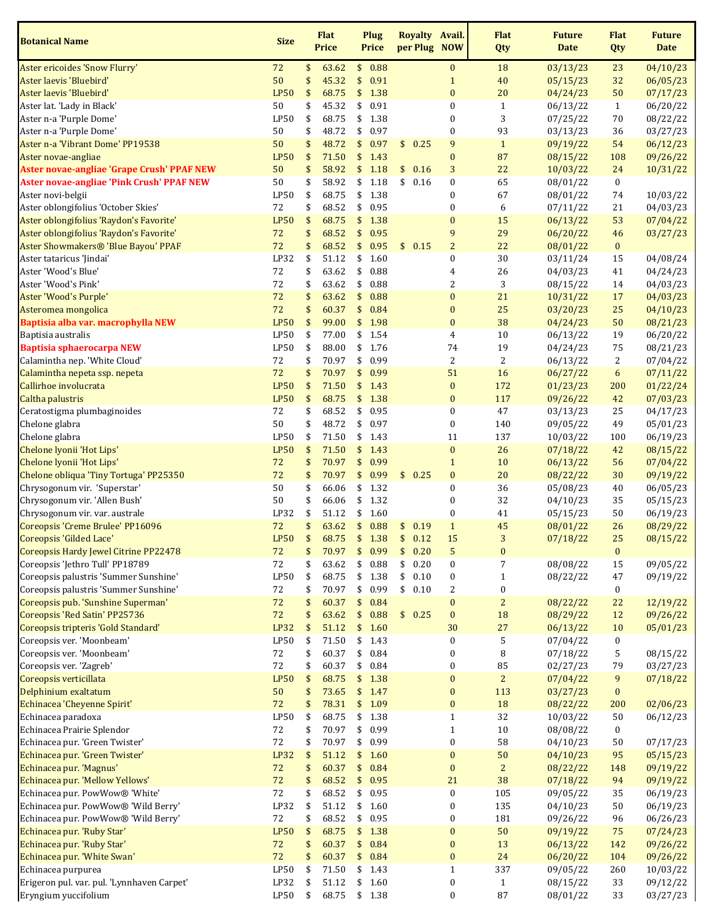| <b>Botanical Name</b>                       | <b>Size</b>                |               | <b>Flat</b><br><b>Price</b> | Plug<br><b>Price</b>  |      | Royalty Avail.<br>per Plug NOW |                      | <b>Flat</b><br>Qty   | <b>Future</b><br><b>Date</b> | <b>Flat</b><br>Qty | <b>Future</b><br><b>Date</b> |
|---------------------------------------------|----------------------------|---------------|-----------------------------|-----------------------|------|--------------------------------|----------------------|----------------------|------------------------------|--------------------|------------------------------|
| Aster ericoides 'Snow Flurry'               | 72                         | \$            | 63.62                       | \$0.88                |      |                                | $\bf{0}$             | 18                   | 03/13/23                     | 23                 | 04/10/23                     |
| Aster laevis 'Bluebird'                     | 50                         | \$            | 45.32                       | \$<br>0.91            |      |                                | $\mathbf{1}$         | 40                   | 05/15/23                     | 32                 | 06/05/23                     |
| Aster laevis 'Bluebird'                     | <b>LP50</b>                | \$            | 68.75                       | \$                    | 1.38 |                                | $\bf{0}$             | 20                   | 04/24/23                     | 50                 | 07/17/23                     |
| Aster lat. 'Lady in Black'                  | 50                         | \$            | 45.32                       | \$<br>0.91            |      |                                | $\boldsymbol{0}$     | $\mathbf{1}$         | 06/13/22                     | $\mathbf{1}$       | 06/20/22                     |
| Aster n-a 'Purple Dome'                     | LP50                       | \$            | 68.75                       | \$<br>1.38            |      |                                | $\boldsymbol{0}$     | 3                    | 07/25/22                     | 70                 | 08/22/22                     |
| Aster n-a 'Purple Dome'                     | 50                         | \$            | 48.72                       | \$                    | 0.97 |                                | $\boldsymbol{0}$     | 93                   | 03/13/23                     | 36                 | 03/27/23                     |
| Aster n-a 'Vibrant Dome' PP19538            | 50                         | \$            | 48.72                       | \$<br>0.97            |      | \$0.25                         | 9                    | $1\,$                | 09/19/22                     | 54                 | 06/12/23                     |
| Aster novae-angliae                         | <b>LP50</b>                | \$            | 71.50                       | \$                    | 1.43 |                                | $\boldsymbol{0}$     | 87                   | 08/15/22                     | 108                | 09/26/22                     |
| Aster novae-angliae 'Grape Crush' PPAF NEW  | 50                         | \$            | 58.92                       | \$                    | 1.18 | 0.16<br>\$                     | 3                    | 22                   | 10/03/22                     | 24                 | 10/31/22                     |
| Aster novae-angliae 'Pink Crush' PPAF NEW   | 50                         | \$            | 58.92                       | \$                    | 1.18 | \$<br>0.16                     | 0                    | 65                   | 08/01/22                     | $\boldsymbol{0}$   |                              |
| Aster novi-belgii                           | LP50                       | \$            | 68.75                       | \$<br>1.38            |      |                                | $\boldsymbol{0}$     | 67                   | 08/01/22                     | 74                 | 10/03/22                     |
| Aster oblongifolius 'October Skies'         | 72                         | \$            | 68.52                       | \$                    | 0.95 |                                | 0                    | 6                    | 07/11/22                     | 21                 | 04/03/23                     |
| Aster oblongifolius 'Raydon's Favorite'     | <b>LP50</b>                | \$            | 68.75                       | \$                    | 1.38 |                                | $\bf{0}$             | 15                   | 06/13/22                     | 53                 | 07/04/22                     |
| Aster oblongifolius 'Raydon's Favorite'     | 72                         | \$            | 68.52                       | \$                    | 0.95 |                                | 9                    | 29                   | 06/20/22                     | 46                 | 03/27/23                     |
| Aster Showmakers® 'Blue Bayou' PPAF         | 72                         | \$            | 68.52                       | \$                    | 0.95 | \$0.15                         | $\overline{c}$       | 22                   | 08/01/22                     | $\pmb{0}$          |                              |
| Aster tataricus 'Jindai'                    | LP32                       | \$            | 51.12                       | 1.60<br>\$            |      |                                | 0                    | 30                   | 03/11/24                     | 15                 | 04/08/24                     |
| Aster 'Wood's Blue'                         | 72                         | \$            | 63.62                       | \$                    | 0.88 |                                | 4                    | 26                   | 04/03/23                     | 41                 | 04/24/23                     |
| Aster 'Wood's Pink'                         | 72                         | \$            | 63.62                       | \$                    | 0.88 |                                | 2                    | 3                    | 08/15/22                     | 14                 | 04/03/23                     |
| Aster 'Wood's Purple'                       | 72                         | \$            | 63.62                       | \$                    | 0.88 |                                | $\pmb{0}$            | 21                   | 10/31/22                     | 17                 | 04/03/23                     |
| Asteromea mongolica                         | 72                         | \$            | 60.37                       | \$                    | 0.84 |                                | $\bf{0}$             | 25                   | 03/20/23                     | 25                 | 04/10/23                     |
| Baptisia alba var. macrophylla NEW          | <b>LP50</b>                | \$            | 99.00                       | \$<br>1.98            |      |                                | $\bf{0}$             | 38                   | 04/24/23                     | 50                 | 08/21/23                     |
| Baptisia australis                          | LP50                       | \$            | 77.00                       | \$1.54                |      |                                | 4                    | 10                   | 06/13/22                     | 19                 | 06/20/22                     |
| <b>Baptisia sphaerocarpa NEW</b>            | LP50                       | \$            | 88.00                       | \$                    | 1.76 |                                | 74<br>$\overline{c}$ | 19<br>$\overline{2}$ | 04/24/23                     | 75                 | 08/21/23                     |
| Calamintha nep. 'White Cloud'               | 72                         | \$            | 70.97                       | \$<br>0.99            |      |                                |                      |                      | 06/13/22                     | $\overline{c}$     | 07/04/22                     |
| Calamintha nepeta ssp. nepeta               | 72                         | \$            | 70.97                       | \$                    | 0.99 |                                | 51                   | 16                   | 06/27/22                     | $6\phantom{.}6$    | 07/11/22                     |
| Callirhoe involucrata                       | <b>LP50</b><br><b>LP50</b> | \$            | 71.50                       | \$<br>1.43<br>1.38    |      |                                | $\bf{0}$             | 172<br>117           | 01/23/23                     | 200                | 01/22/24                     |
| Caltha palustris                            |                            | \$<br>\$      | 68.75                       | \$                    |      |                                | $\bf{0}$             | 47                   | 09/26/22                     | 42                 | 07/03/23                     |
| Ceratostigma plumbaginoides                 | 72<br>50                   | \$            | 68.52<br>48.72              | \$<br>\$<br>0.97      | 0.95 |                                | 0                    | 140                  | 03/13/23                     | 25<br>49           | 04/17/23                     |
| Chelone glabra                              | LP50                       | \$            | 71.50                       | \$<br>1.43            |      |                                | 0<br>11              | 137                  | 09/05/22                     | 100                | 05/01/23                     |
| Chelone glabra<br>Chelone lyonii 'Hot Lips' | <b>LP50</b>                | \$            | 71.50                       | \$<br>1.43            |      |                                | $\pmb{0}$            | 26                   | 10/03/22<br>07/18/22         | 42                 | 06/19/23<br>08/15/22         |
| Chelone lyonii 'Hot Lips'                   | 72                         | \$            | 70.97                       | \$<br>0.99            |      |                                | $\mathbf{1}$         | 10                   | 06/13/22                     | 56                 | 07/04/22                     |
| Chelone obliqua 'Tiny Tortuga' PP25350      | 72                         | \$            | 70.97                       | \$<br>0.99            |      | \$0.25                         | $\pmb{0}$            | 20                   | 08/22/22                     | 30                 | 09/19/22                     |
| Chrysogonum vir. 'Superstar'                | 50                         | \$            | 66.06                       | \$1.32                |      |                                | 0                    | 36                   | 05/08/23                     | 40                 | 06/05/23                     |
| Chrysogonum vir. 'Allen Bush'               | 50                         | \$            | 66.06                       | \$                    | 1.32 |                                | 0                    | 32                   | 04/10/23                     | 35                 | 05/15/23                     |
| Chrysogonum vir. var. australe              | LP32                       | \$            | 51.12                       | \$<br>1.60            |      |                                | $\boldsymbol{0}$     | 41                   | 05/15/23                     | 50                 | 06/19/23                     |
| Coreopsis 'Creme Brulee' PP16096            | 72                         | \$            | 63.62                       | \$                    | 0.88 | \$<br>0.19                     | $\mathbf{1}$         | 45                   | 08/01/22                     | 26                 | 08/29/22                     |
| Coreopsis 'Gilded Lace'                     | <b>LP50</b>                | \$            | 68.75                       | 1.38<br>$\frac{1}{2}$ |      | 0.12<br>\$                     | 15                   | 3                    | 07/18/22                     | 25                 | 08/15/22                     |
| Coreopsis Hardy Jewel Citrine PP22478       | 72                         | \$            | 70.97                       | \$                    | 0.99 | \$<br>0.20                     | 5                    | $\bf{0}$             |                              | $\bf{0}$           |                              |
| Coreopsis 'Jethro Tull' PP18789             | 72                         | \$            | 63.62                       | \$                    | 0.88 | \$<br>0.20                     | 0                    | 7                    | 08/08/22                     | 15                 | 09/05/22                     |
| Coreopsis palustris 'Summer Sunshine'       | LP50                       | \$            | 68.75                       | \$                    | 1.38 | \$<br>0.10                     | 0                    | $\mathbf{1}$         | 08/22/22                     | 47                 | 09/19/22                     |
| Coreopsis palustris 'Summer Sunshine'       | 72                         | \$            | 70.97                       | \$                    | 0.99 | \$0.10                         | 2                    | $\boldsymbol{0}$     |                              | $\boldsymbol{0}$   |                              |
| Coreopsis pub. 'Sunshine Superman'          | 72                         | \$            | 60.37                       | \$                    | 0.84 |                                | $\bf{0}$             | $\overline{c}$       | 08/22/22                     | 22                 | 12/19/22                     |
| Coreopsis 'Red Satin' PP25736               | 72                         | \$            | 63.62                       | \$                    | 0.88 | \$0.25                         | $\boldsymbol{0}$     | 18                   | 08/29/22                     | 12                 | 09/26/22                     |
| Coreopsis tripteris 'Gold Standard'         | LP32                       | \$            | 51.12                       | \$                    | 1.60 |                                | 30                   | 27                   | 06/13/22                     | 10                 | 05/01/23                     |
| Coreopsis ver. 'Moonbeam'                   | LP50                       | \$            | 71.50                       | \$                    | 1.43 |                                | 0                    | 5                    | 07/04/22                     | $\boldsymbol{0}$   |                              |
| Coreopsis ver. 'Moonbeam'                   | 72                         | \$            | 60.37                       | \$                    | 0.84 |                                | 0                    | $\, 8$               | 07/18/22                     | $\mathsf S$        | 08/15/22                     |
| Coreopsis ver. 'Zagreb'                     | $72\,$                     | \$            | 60.37                       | \$                    | 0.84 |                                | $\boldsymbol{0}$     | 85                   | 02/27/23                     | 79                 | 03/27/23                     |
| Coreopsis verticillata                      | <b>LP50</b>                | \$            | 68.75                       | \$                    | 1.38 |                                | $\boldsymbol{0}$     | $\overline{2}$       | 07/04/22                     | 9                  | 07/18/22                     |
| Delphinium exaltatum                        | 50                         | \$            | 73.65                       | \$1.47                |      |                                | $\pmb{0}$            | 113                  | 03/27/23                     | $\boldsymbol{0}$   |                              |
| Echinacea 'Cheyenne Spirit'                 | $72\,$                     | \$            | 78.31                       | \$                    | 1.09 |                                | $\boldsymbol{0}$     | 18                   | 08/22/22                     | 200                | 02/06/23                     |
| Echinacea paradoxa                          | LP50                       | \$            | 68.75                       | \$                    | 1.38 |                                | $\mathbf{1}$         | 32                   | 10/03/22                     | 50                 | 06/12/23                     |
| Echinacea Prairie Splendor                  | $72\,$                     | \$            | 70.97                       | \$                    | 0.99 |                                | $\mathbf{1}$         | 10                   | 08/08/22                     | $\boldsymbol{0}$   |                              |
| Echinacea pur. 'Green Twister'              | $72\,$                     | \$            | 70.97                       | \$                    | 0.99 |                                | $\boldsymbol{0}$     | 58                   | 04/10/23                     | 50                 | 07/17/23                     |
| Echinacea pur. 'Green Twister'              | LP32                       | \$            | 51.12                       | \$1.60                |      |                                | $\pmb{0}$            | 50                   | 04/10/23                     | 95                 | 05/15/23                     |
| Echinacea pur. 'Magnus'                     | 72                         | \$            | 60.37                       | \$                    | 0.84 |                                | $\boldsymbol{0}$     | $\overline{2}$       | 08/22/22                     | 148                | 09/19/22                     |
| Echinacea pur. 'Mellow Yellows'             | 72                         | \$            | 68.52                       | \$                    | 0.95 |                                | 21                   | 38                   | 07/18/22                     | 94                 | 09/19/22                     |
| Echinacea pur. PowWow® 'White'              | $72\,$                     | \$            | 68.52                       | \$                    | 0.95 |                                | 0                    | 105                  | 09/05/22                     | 35                 | 06/19/23                     |
| Echinacea pur. PowWow® 'Wild Berry'         | LP32                       | \$            | 51.12                       | \$                    | 1.60 |                                | 0                    | 135                  | 04/10/23                     | 50                 | 06/19/23                     |
| Echinacea pur. PowWow® 'Wild Berry'         | 72                         | \$            | 68.52                       | \$                    | 0.95 |                                | 0                    | 181                  | 09/26/22                     | 96                 | 06/26/23                     |
| Echinacea pur. 'Ruby Star'                  | <b>LP50</b>                | $\frac{1}{2}$ | 68.75                       | \$1.38                |      |                                | $\pmb{0}$            | $50\,$               | 09/19/22                     | 75                 | 07/24/23                     |
| Echinacea pur. 'Ruby Star'                  | 72                         | \$            | 60.37                       | \$                    | 0.84 |                                | $\boldsymbol{0}$     | 13                   | 06/13/22                     | 142                | 09/26/22                     |
| Echinacea pur. 'White Swan'                 | $72\,$                     | \$            | 60.37                       | $\frac{1}{2}$         | 0.84 |                                | $\boldsymbol{0}$     | 24                   | 06/20/22                     | 104                | 09/26/22                     |
| Echinacea purpurea                          | LP50                       | \$            | 71.50                       | \$<br>1.43            |      |                                | $\mathbf{1}$         | 337                  | 09/05/22                     | 260                | 10/03/22                     |
| Erigeron pul. var. pul. 'Lynnhaven Carpet'  | LP32                       | \$            | 51.12                       | \$<br>1.60            |      |                                | 0                    | $\mathbf{1}$         | 08/15/22                     | 33                 | 09/12/22                     |
| Eryngium yuccifolium                        | LP50                       | \$            | 68.75                       | \$1.38                |      |                                | $\boldsymbol{0}$     | 87                   | 08/01/22                     | 33                 | 03/27/23                     |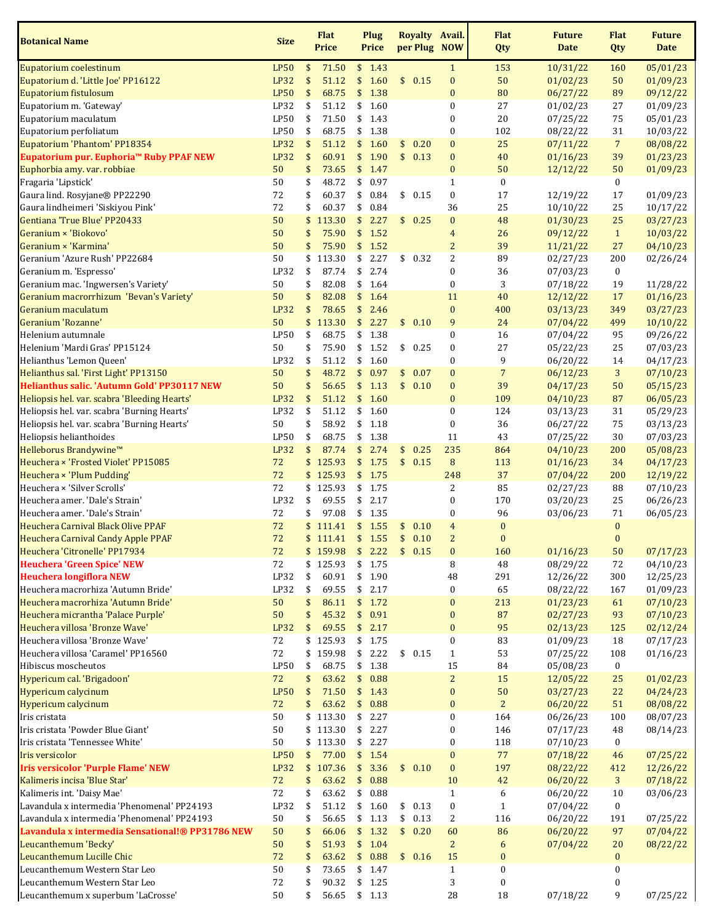| <b>Botanical Name</b>                                                | <b>Size</b> |          | <b>Flat</b><br><b>Price</b> | Plug<br><b>Price</b> |              |               |              | Royalty Avail.<br>per Plug NOW   | <b>Flat</b><br>Qty       | <b>Future</b><br><b>Date</b> | <b>Flat</b><br>Qty   | <b>Future</b><br><b>Date</b> |
|----------------------------------------------------------------------|-------------|----------|-----------------------------|----------------------|--------------|---------------|--------------|----------------------------------|--------------------------|------------------------------|----------------------|------------------------------|
| Eupatorium coelestinum                                               | <b>LP50</b> | \$       | 71.50                       | \$1.43               |              |               |              | $\mathbf{1}$                     | 153                      | 10/31/22                     | 160                  | 05/01/23                     |
| Eupatorium d. 'Little Joe' PP16122                                   | LP32        | \$       | 51.12                       | \$                   | 1.60         |               | \$0.15       | $\bf{0}$                         | 50                       | 01/02/23                     | 50                   | 01/09/23                     |
| Eupatorium fistulosum                                                | <b>LP50</b> | \$       | 68.75                       | \$                   | 1.38         |               |              | $\bf{0}$                         | 80                       | 06/27/22                     | 89                   | 09/12/22                     |
| Eupatorium m. 'Gateway'                                              | LP32        | \$       | 51.12                       | \$                   | 1.60         |               |              | $\boldsymbol{0}$                 | 27                       | 01/02/23                     | 27                   | 01/09/23                     |
| Eupatorium maculatum                                                 | LP50        | \$       | 71.50                       | \$                   | 1.43         |               |              | $\boldsymbol{0}$                 | 20                       | 07/25/22                     | 75                   | 05/01/23                     |
| Eupatorium perfoliatum                                               | LP50        | \$       | 68.75                       | \$                   | 1.38         |               |              | $\boldsymbol{0}$                 | 102                      | 08/22/22                     | 31                   | 10/03/22                     |
| Eupatorium 'Phantom' PP18354                                         | LP32        | \$       | 51.12                       | \$                   | 1.60         | \$            | 0.20         | $\bf{0}$                         | 25                       | 07/11/22                     | $\overline{7}$       | 08/08/22                     |
| Eupatorium pur. Euphoria™ Ruby PPAF NEW                              | LP32        | \$       | 60.91                       | \$                   | 1.90         | \$            | 0.13         | $\bf{0}$                         | 40                       | 01/16/23                     | 39                   | 01/23/23                     |
| Euphorbia amy. var. robbiae                                          | 50          | \$       | 73.65                       | \$                   | 1.47         |               |              | $\pmb{0}$                        | 50                       | 12/12/22                     | 50                   | 01/09/23                     |
| Fragaria 'Lipstick'                                                  | 50          | \$       | 48.72                       | \$                   | 0.97         |               |              | $\mathbf{1}$                     | $\boldsymbol{0}$         |                              | $\bf{0}$             |                              |
| Gaura lind. Rosyjane® PP22290                                        | 72          | \$       | 60.37                       | \$                   | 0.84         |               | \$0.15       | $\boldsymbol{0}$                 | 17                       | 12/19/22                     | 17                   | 01/09/23                     |
| Gaura lindheimeri 'Siskiyou Pink'                                    | 72          | \$       | 60.37                       | \$                   | 0.84         |               |              | 36                               | 25                       | 10/10/22                     | 25                   | 10/17/22                     |
| Gentiana 'True Blue' PP20433                                         | 50          | \$       | 113.30                      | \$                   | 2.27         |               | \$0.25       | $\boldsymbol{0}$                 | 48                       | 01/30/23                     | 25                   | 03/27/23                     |
| Geranium × 'Biokovo'                                                 | 50          | \$       | 75.90                       | \$                   | 1.52         |               |              | $\overline{4}$                   | 26                       | 09/12/22                     | $\mathbf{1}$         | 10/03/22                     |
| Geranium × 'Karmina'                                                 | 50          | \$       | 75.90                       | \$                   | 1.52         |               |              | $\overline{c}$                   | 39                       | 11/21/22                     | 27                   | 04/10/23                     |
| Geranium 'Azure Rush' PP22684                                        | 50          | \$       | 113.30                      | \$                   | 2.27         | \$            | 0.32         | $\overline{2}$                   | 89                       | 02/27/23                     | 200                  | 02/26/24                     |
| Geranium m. 'Espresso'                                               | LP32        | \$       | 87.74                       | \$                   | 2.74         |               |              | $\boldsymbol{0}$                 | 36                       | 07/03/23                     | $\bf{0}$             |                              |
| Geranium mac. 'Ingwersen's Variety'                                  | 50          | \$       | 82.08                       | \$                   | 1.64         |               |              | $\boldsymbol{0}$                 | 3                        | 07/18/22                     | 19                   | 11/28/22                     |
| Geranium macrorrhizum 'Bevan's Variety'                              | 50          | \$       | 82.08                       | \$                   | 1.64         |               |              | 11                               | 40                       | 12/12/22                     | 17                   | 01/16/23                     |
| Geranium maculatum                                                   | LP32        | \$       | 78.65                       | \$                   | 2.46         |               |              | $\pmb{0}$                        | 400                      | 03/13/23                     | 349                  | 03/27/23                     |
| Geranium 'Rozanne'                                                   | 50          | \$       | 113.30                      | \$                   | 2.27         | $\frac{1}{2}$ | 0.10         | 9                                | 24                       | 07/04/22                     | 499                  | 10/10/22                     |
| Helenium autumnale                                                   | <b>LP50</b> | \$       | 68.75                       | \$                   | 1.38         |               |              | $\boldsymbol{0}$                 | 16                       | 07/04/22                     | 95                   | 09/26/22                     |
| Helenium 'Mardi Gras' PP15124                                        | 50          | \$       | 75.90                       | \$                   | 1.52         |               | \$0.25       | $\pmb{0}$                        | 27                       | 05/22/23                     | 25                   | 07/03/23                     |
| Helianthus 'Lemon Queen'                                             | LP32        | \$       | 51.12                       | \$                   | 1.60         |               |              | $\boldsymbol{0}$                 | 9                        | 06/20/22                     | 14                   | 04/17/23                     |
| Helianthus sal. 'First Light' PP13150                                | 50          | \$       | 48.72                       | \$                   | 0.97         | \$            | 0.07         | $\bf{0}$                         | 7                        | 06/12/23                     | 3                    | 07/10/23                     |
| Helianthus salic. 'Autumn Gold' PP30117 NEW                          | 50          | \$       | 56.65                       | \$                   | 1.13         |               | \$0.10       | $\bf{0}$                         | 39                       | 04/17/23                     | 50                   | 05/15/23                     |
| Heliopsis hel. var. scabra 'Bleeding Hearts'                         | LP32        | \$       | 51.12                       | \$                   | 1.60         |               |              | $\bf{0}$                         | 109                      | 04/10/23                     | 87                   | 06/05/23                     |
| Heliopsis hel. var. scabra 'Burning Hearts'                          | LP32        | \$       | 51.12                       | \$                   | 1.60         |               |              | $\boldsymbol{0}$                 | 124                      | 03/13/23                     | 31                   | 05/29/23                     |
| Heliopsis hel. var. scabra 'Burning Hearts'                          | 50          | \$       | 58.92                       | \$                   | 1.18         |               |              | $\boldsymbol{0}$                 | 36                       | 06/27/22                     | 75                   | 03/13/23                     |
| Heliopsis helianthoides                                              | LP50        | \$       | 68.75                       | \$                   | 1.38         |               |              | 11                               | 43                       | 07/25/22                     | 30                   | 07/03/23                     |
| Helleborus Brandywine™                                               | LP32        | \$       | 87.74                       | \$                   | 2.74         | \$            | 0.25         | 235                              | 864                      | 04/10/23                     | 200                  | 05/08/23                     |
| Heuchera × 'Frosted Violet' PP15085                                  | 72          | \$       | 125.93                      | \$                   | 1.75         | $\frac{1}{2}$ | 0.15         | 8                                | 113                      | 01/16/23                     | 34                   | 04/17/23                     |
| Heuchera × 'Plum Pudding'<br>Heuchera × 'Silver Scrolls'             | 72          |          | \$125.93                    | \$                   | 1.75         |               |              | 248                              | 37                       | 07/04/22                     | 200                  | 12/19/22                     |
|                                                                      | 72          | \$       | 125.93                      | \$1.75               | 2.17         |               |              | $\overline{c}$                   | 85                       | 02/27/23                     | 88                   | 07/10/23                     |
| Heuchera amer. 'Dale's Strain'                                       | LP32        | \$       | 69.55                       | \$                   |              |               |              | $\boldsymbol{0}$                 | 170                      | 03/20/23                     | 25                   | 06/26/23                     |
| Heuchera amer. 'Dale's Strain'<br>Heuchera Carnival Black Olive PPAF | 72<br>72    | \$<br>\$ | 97.08                       | \$<br>\$             | 1.35<br>1.55 |               |              | $\boldsymbol{0}$                 | 96                       | 03/06/23                     | 71                   | 06/05/23                     |
| <b>Heuchera Carnival Candy Apple PPAF</b>                            | 72          |          | 111.41<br>\$111.41          | \$1.55               |              | \$<br>\$      | 0.10<br>0.10 | $\overline{4}$<br>$\overline{2}$ | $\bf{0}$<br>$\mathbf{0}$ |                              | $\bf{0}$<br>$\bf{0}$ |                              |
| Heuchera 'Citronelle' PP17934                                        | 72          | \$       | 159.98                      | \$2.22               |              |               | \$0.15       | $\bf{0}$                         | 160                      | 01/16/23                     | 50                   | 07/17/23                     |
| <b>Heuchera 'Green Spice' NEW</b>                                    | 72          |          | \$125.93                    | \$                   | 1.75         |               |              | 8                                | 48                       | 08/29/22                     | 72                   | 04/10/23                     |
| <b>Heuchera longiflora NEW</b>                                       | LP32        | \$       | 60.91                       | \$                   | 1.90         |               |              | 48                               | 291                      | 12/26/22                     | 300                  | 12/25/23                     |
| Heuchera macrorhiza 'Autumn Bride'                                   | LP32        | \$       | 69.55                       | \$                   | 2.17         |               |              | $\pmb{0}$                        | 65                       | 08/22/22                     | 167                  | 01/09/23                     |
| Heuchera macrorhiza 'Autumn Bride'                                   | 50          | \$       | 86.11                       | \$                   | 1.72         |               |              | $\pmb{0}$                        | 213                      | 01/23/23                     | 61                   | 07/10/23                     |
| Heuchera micrantha 'Palace Purple'                                   | 50          | \$       | 45.32                       | \$                   | 0.91         |               |              | $\pmb{0}$                        | 87                       | 02/27/23                     | 93                   | 07/10/23                     |
| Heuchera villosa 'Bronze Wave'                                       | LP32        | \$       | 69.55                       | \$2.17               |              |               |              | $\bf{0}$                         | 95                       | 02/13/23                     | 125                  | 02/12/24                     |
| Heuchera villosa 'Bronze Wave'                                       | 72          |          | \$125.93                    | \$1.75               |              |               |              | $\boldsymbol{0}$                 | 83                       | 01/09/23                     | 18                   | 07/17/23                     |
| Heuchera villosa 'Caramel' PP16560                                   | 72          | \$       | 159.98                      | \$                   | 2.22         |               | \$0.15       | $\mathbf{1}$                     | 53                       | 07/25/22                     | 108                  | 01/16/23                     |
| Hibiscus moscheutos                                                  | LP50        | \$       | 68.75                       | \$                   | 1.38         |               |              | 15                               | 84                       | 05/08/23                     | $\bf{0}$             |                              |
| Hypericum cal. 'Brigadoon'                                           | 72          | \$       | 63.62                       | \$                   | 0.88         |               |              | $\sqrt{2}$                       | 15                       | 12/05/22                     | 25                   | 01/02/23                     |
| Hypericum calycinum                                                  | <b>LP50</b> | \$       | 71.50                       | \$                   | 1.43         |               |              | $\pmb{0}$                        | 50                       | 03/27/23                     | 22                   | 04/24/23                     |
| Hypericum calycinum                                                  | 72          | \$       | 63.62                       | \$                   | 0.88         |               |              | $\bf{0}$                         | $\overline{2}$           | 06/20/22                     | 51                   | 08/08/22                     |
| Iris cristata                                                        | 50          |          | \$113.30                    | \$2.27               |              |               |              | $\boldsymbol{0}$                 | 164                      | 06/26/23                     | 100                  | 08/07/23                     |
| Iris cristata 'Powder Blue Giant'                                    | 50          |          | \$113.30                    | \$                   | 2.27         |               |              | $\boldsymbol{0}$                 | 146                      | 07/17/23                     | 48                   | 08/14/23                     |
| Iris cristata 'Tennessee White'                                      | 50          |          | \$113.30                    | \$                   | 2.27         |               |              | $\boldsymbol{0}$                 | 118                      | 07/10/23                     | 0                    |                              |
| <b>Iris versicolor</b>                                               | <b>LP50</b> | \$       | 77.00                       | \$1.54               |              |               |              | $\bf{0}$                         | 77                       | 07/18/22                     | 46                   | 07/25/22                     |
| <b>Iris versicolor 'Purple Flame' NEW</b>                            | LP32        |          | \$107.36                    | \$3.36               |              |               | \$0.10       | $\pmb{0}$                        | 197                      | 08/22/22                     | 412                  | 12/26/22                     |
| Kalimeris incisa 'Blue Star'                                         | 72          | \$       | 63.62                       | \$                   | 0.88         |               |              | 10                               | 42                       | 06/20/22                     | 3                    | 07/18/22                     |
| Kalimeris int. 'Daisy Mae'                                           | 72          | \$       | 63.62                       | \$                   | 0.88         |               |              | $\mathbf{1}$                     | 6                        | 06/20/22                     | 10                   | 03/06/23                     |
| Lavandula x intermedia 'Phenomenal' PP24193                          | LP32        | \$       | 51.12                       | \$                   | 1.60         |               | \$0.13       | $\pmb{0}$                        | $\mathbf{1}$             | 07/04/22                     | $\boldsymbol{0}$     |                              |
| Lavandula x intermedia 'Phenomenal' PP24193                          | 50          | \$       | 56.65                       | \$                   | 1.13         |               | \$0.13       | $\sqrt{2}$                       | 116                      | 06/20/22                     | 191                  | 07/25/22                     |
| Lavandula x intermedia Sensational!® PP31786 NEW                     | 50          | \$       | 66.06                       | \$1.32               |              |               | \$0.20       | 60                               | 86                       | 06/20/22                     | 97                   | 07/04/22                     |
| Leucanthemum 'Becky'                                                 | 50          | \$       | 51.93                       | \$                   | 1.04         |               |              | $\overline{2}$                   | 6                        | 07/04/22                     | 20                   | 08/22/22                     |
| Leucanthemum Lucille Chic                                            | 72          | \$       | 63.62                       | \$                   | 0.88         |               | \$0.16       | 15                               | $\bf{0}$                 |                              | $\bf{0}$             |                              |
| Leucanthemum Western Star Leo                                        | 50          | \$       | 73.65                       | \$                   | 1.47         |               |              | $\mathbf{1}$                     | 0                        |                              | 0                    |                              |
| Leucanthemum Western Star Leo                                        | 72          | \$       | 90.32                       | \$                   | 1.25         |               |              | 3                                | 0                        |                              | 0                    |                              |
| Leucanthemum x superbum 'LaCrosse'                                   | 50          | \$       | 56.65                       | \$1.13               |              |               |              | 28                               | 18                       | 07/18/22                     | 9                    | 07/25/22                     |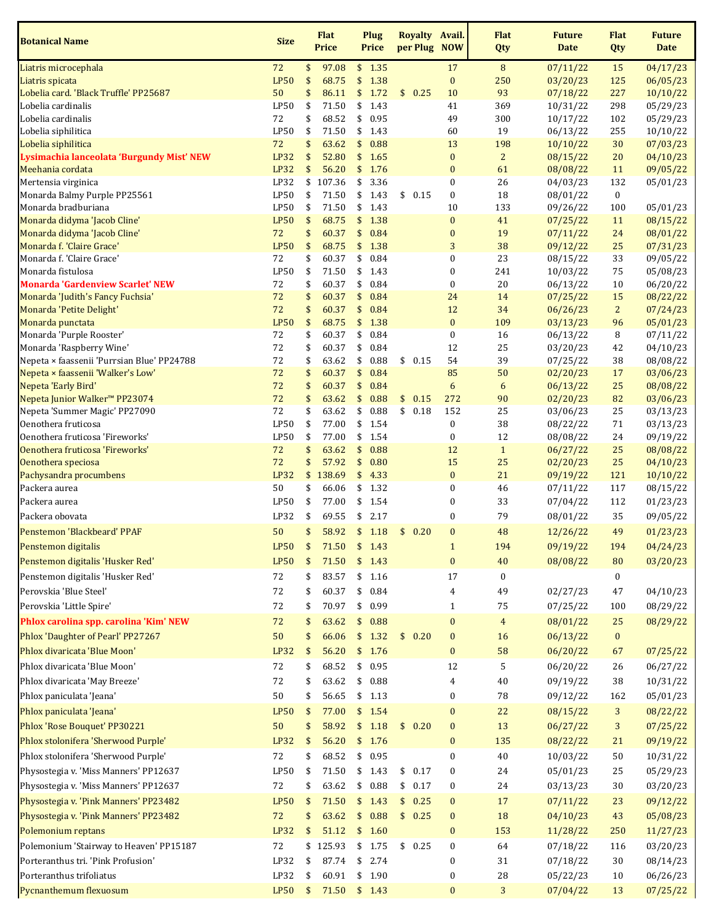| <b>Botanical Name</b>                                        | <b>Size</b> |          | <b>Flat</b><br><b>Price</b> |          | Plug<br><b>Price</b> |          |              | Royalty Avail.<br>per Plug NOW       | <b>Flat</b><br>Qty | <b>Future</b><br><b>Date</b> | <b>Flat</b><br>Qty | <b>Future</b><br><b>Date</b> |
|--------------------------------------------------------------|-------------|----------|-----------------------------|----------|----------------------|----------|--------------|--------------------------------------|--------------------|------------------------------|--------------------|------------------------------|
| Liatris microcephala                                         | 72          | \$       | 97.08                       |          | \$1.35               |          |              | 17                                   | 8                  | 07/11/22                     | 15                 | 04/17/23                     |
| Liatris spicata                                              | <b>LP50</b> | \$       | 68.75                       | \$       | 1.38                 |          |              | $\boldsymbol{0}$                     | 250                | 03/20/23                     | 125                | 06/05/23                     |
| Lobelia card. 'Black Truffle' PP25687                        | 50          | \$       | 86.11                       | \$       | 1.72                 |          | \$0.25       | 10                                   | 93                 | 07/18/22                     | 227                | 10/10/22                     |
| Lobelia cardinalis                                           | LP50        | \$       | 71.50                       | \$       | 1.43                 |          |              | 41                                   | 369                | 10/31/22                     | 298                | 05/29/23                     |
| Lobelia cardinalis                                           | 72          | \$       | 68.52                       | \$       | 0.95                 |          |              | 49                                   | 300                | 10/17/22                     | 102                | 05/29/23                     |
| Lobelia siphilitica<br>Lobelia siphilitica                   | LP50<br>72  | \$<br>\$ | 71.50<br>63.62              | \$       | \$1.43<br>0.88       |          |              | 60<br>13                             | 19<br>198          | 06/13/22<br>10/10/22         | 255<br>30          | 10/10/22                     |
| Lysimachia lanceolata 'Burgundy Mist' NEW                    | <b>LP32</b> | \$       | 52.80                       | \$       | 1.65                 |          |              | $\pmb{0}$                            | $\overline{2}$     | 08/15/22                     | 20                 | 07/03/23<br>04/10/23         |
| Meehania cordata                                             | <b>LP32</b> | \$       | 56.20                       | \$       | 1.76                 |          |              | $\bf{0}$                             | 61                 | 08/08/22                     | 11                 | 09/05/22                     |
| Mertensia virginica                                          | LP32        |          | \$107.36                    | \$       | 3.36                 |          |              | $\pmb{0}$                            | 26                 | 04/03/23                     | 132                | 05/01/23                     |
| Monarda Balmy Purple PP25561                                 | LP50        | \$       | 71.50                       | \$       | 1.43                 |          | \$0.15       | $\boldsymbol{0}$                     | 18                 | 08/01/22                     | $\bf{0}$           |                              |
| Monarda bradburiana                                          | LP50        | \$       | 71.50                       | \$       | 1.43                 |          |              | 10                                   | 133                | 09/26/22                     | 100                | 05/01/23                     |
| Monarda didyma 'Jacob Cline'                                 | <b>LP50</b> | \$       | 68.75                       | \$       | 1.38                 |          |              | $\bf{0}$                             | 41                 | 07/25/22                     | 11                 | 08/15/22                     |
| Monarda didyma 'Jacob Cline'                                 | 72          | \$       | 60.37                       | \$       | 0.84                 |          |              | $\bf{0}$                             | 19                 | 07/11/22                     | 24                 | 08/01/22                     |
| Monarda f. 'Claire Grace'                                    | <b>LP50</b> | \$       | 68.75                       | \$       | 1.38                 |          |              | $\sqrt{3}$                           | 38                 | 09/12/22                     | 25                 | 07/31/23                     |
| Monarda f. 'Claire Grace'                                    | 72<br>LP50  | \$       | 60.37                       | \$       | 0.84                 |          |              | $\boldsymbol{0}$<br>$\boldsymbol{0}$ | 23<br>241          | 08/15/22                     | 33                 | 09/05/22                     |
| Monarda fistulosa<br><b>Monarda 'Gardenview Scarlet' NEW</b> | 72          | \$<br>\$ | 71.50<br>60.37              | \$<br>\$ | 1.43<br>0.84         |          |              | $\boldsymbol{0}$                     | 20                 | 10/03/22<br>06/13/22         | 75<br>10           | 05/08/23<br>06/20/22         |
| Monarda 'Judith's Fancy Fuchsia'                             | 72          | \$       | 60.37                       | \$       | 0.84                 |          |              | 24                                   | 14                 | 07/25/22                     | 15                 | 08/22/22                     |
| Monarda 'Petite Delight'                                     | 72          | \$       | 60.37                       | \$       | 0.84                 |          |              | 12                                   | 34                 | 06/26/23                     | $\overline{2}$     | 07/24/23                     |
| Monarda punctata                                             | <b>LP50</b> | \$       | 68.75                       | \$       | 1.38                 |          |              | $\pmb{0}$                            | 109                | 03/13/23                     | 96                 | 05/01/23                     |
| Monarda 'Purple Rooster'                                     | 72          | \$       | 60.37                       | \$       | 0.84                 |          |              | $\boldsymbol{0}$                     | 16                 | 06/13/22                     | 8                  | 07/11/22                     |
| Monarda 'Raspberry Wine'                                     | 72          | \$       | 60.37                       | \$       | 0.84                 |          |              | 12                                   | 25                 | 03/20/23                     | 42                 | 04/10/23                     |
| Nepeta × faassenii 'Purrsian Blue' PP24788                   | 72          | \$       | 63.62                       | \$       | 0.88                 |          | \$0.15       | 54                                   | 39                 | 07/25/22                     | 38                 | 08/08/22                     |
| Nepeta × faassenii 'Walker's Low'                            | 72          | \$       | 60.37                       | \$       | 0.84                 |          |              | 85                                   | 50                 | 02/20/23                     | 17                 | 03/06/23                     |
| Nepeta 'Early Bird'                                          | 72          | \$       | 60.37                       | \$       | 0.84                 |          |              | $\boldsymbol{6}$                     | 6                  | 06/13/22                     | 25                 | 08/08/22                     |
| Nepeta Junior Walker <sup>™</sup> PP23074                    | 72<br>72    | \$       | 63.62<br>63.62              | \$<br>\$ | 0.88<br>0.88         | \$<br>\$ | 0.15<br>0.18 | 272<br>152                           | 90<br>25           | 02/20/23                     | 82                 | 03/06/23                     |
| Nepeta 'Summer Magic' PP27090<br>Oenothera fruticosa         | LP50        | \$<br>\$ | 77.00                       | \$       | 1.54                 |          |              | $\boldsymbol{0}$                     | 38                 | 03/06/23<br>08/22/22         | 25<br>71           | 03/13/23<br>03/13/23         |
| Oenothera fruticosa 'Fireworks'                              | LP50        | \$       | 77.00                       | \$       | 1.54                 |          |              | $\boldsymbol{0}$                     | 12                 | 08/08/22                     | 24                 | 09/19/22                     |
| Oenothera fruticosa 'Fireworks'                              | 72          | \$       | 63.62                       | \$       | 0.88                 |          |              | 12                                   | $\mathbf{1}$       | 06/27/22                     | 25                 | 08/08/22                     |
| Oenothera speciosa                                           | 72          | \$       | 57.92                       | \$       | 0.80                 |          |              | 15                                   | 25                 | 02/20/23                     | 25                 | 04/10/23                     |
| Pachysandra procumbens                                       | <b>LP32</b> | \$       | 138.69                      | \$       | 4.33                 |          |              | $\pmb{0}$                            | 21                 | 09/19/22                     | 121                | 10/10/22                     |
| Packera aurea                                                | 50          | \$       | 66.06                       |          | \$1.32               |          |              | $\boldsymbol{0}$                     | 46                 | 07/11/22                     | 117                | 08/15/22                     |
| Packera aurea                                                | LP50        | \$       | 77.00                       |          | \$1.54               |          |              | $\boldsymbol{0}$                     | 33                 | 07/04/22                     | 112                | 01/23/23                     |
| Packera obovata                                              | LP32        | \$       | 69.55                       | \$       | 2.17                 |          |              | $\boldsymbol{0}$                     | 79                 | 08/01/22                     | 35                 | 09/05/22                     |
| Penstemon 'Blackbeard' PPAF                                  | 50          | \$       | 58.92                       |          | \$1.18               | \$       | 0.20         | $\bf{0}$                             | 48                 | 12/26/22                     | 49                 | 01/23/23                     |
| Penstemon digitalis                                          | <b>LP50</b> | \$       | 71.50 \$ 1.43               |          |                      |          |              | $\mathbf{1}$                         | 194                | 09/19/22                     | 194                | 04/24/23                     |
| Penstemon digitalis 'Husker Red'                             | <b>LP50</b> | \$       | 71.50                       | \$       | 1.43                 |          |              | $\pmb{0}$                            | 40                 | 08/08/22                     | 80                 | 03/20/23                     |
| Penstemon digitalis 'Husker Red'                             | 72          | \$       | 83.57                       | \$       | 1.16                 |          |              | 17                                   | 0                  |                              | 0                  |                              |
| Perovskia 'Blue Steel'                                       | 72          | \$       | 60.37                       | \$       | 0.84                 |          |              | 4                                    | 49                 | 02/27/23                     | 47                 | 04/10/23                     |
| Perovskia 'Little Spire'                                     | 72          | \$       | 70.97                       | \$       | 0.99                 |          |              | $\mathbf{1}$                         | 75                 | 07/25/22                     | 100                | 08/29/22                     |
| Phlox carolina spp. carolina 'Kim' NEW                       | 72          | \$       | 63.62                       | \$       | 0.88                 |          |              | $\pmb{0}$                            | $\overline{4}$     | 08/01/22                     | 25                 | 08/29/22                     |
| Phlox 'Daughter of Pearl' PP27267                            | 50          | \$       | 66.06                       |          | \$1.32               |          | \$0.20       | $\pmb{0}$                            | 16                 | 06/13/22                     | $\boldsymbol{0}$   |                              |
| Phlox divaricata 'Blue Moon'                                 | LP32        | \$       | 56.20                       |          | \$1.76               |          |              | $\pmb{0}$                            | 58                 | 06/20/22                     | 67                 | 07/25/22                     |
| Phlox divaricata 'Blue Moon'                                 | 72          | \$       | 68.52                       | \$       | 0.95                 |          |              | 12                                   | 5                  | 06/20/22                     | 26                 | 06/27/22                     |
| Phlox divaricata 'May Breeze'                                |             |          |                             |          |                      |          |              |                                      |                    |                              |                    |                              |
|                                                              | 72          | \$       | 63.62                       | \$       | 0.88                 |          |              | 4                                    | 40                 | 09/19/22                     | 38                 | 10/31/22                     |
| Phlox paniculata 'Jeana'                                     | 50          | \$       | 56.65                       |          | \$1.13               |          |              | 0                                    | 78                 | 09/12/22                     | 162                | 05/01/23                     |
| Phlox paniculata 'Jeana'                                     | <b>LP50</b> | \$       | 77.00                       |          | \$1.54               |          |              | $\bf{0}$                             | 22                 | 08/15/22                     | 3                  | 08/22/22                     |
| Phlox 'Rose Bouquet' PP30221                                 | 50          | \$       | 58.92                       |          | \$1.18               |          | \$0.20       | $\bf{0}$                             | 13                 | 06/27/22                     | 3                  | 07/25/22                     |
| Phlox stolonifera 'Sherwood Purple'                          | <b>LP32</b> | \$       | 56.20                       |          | \$1.76               |          |              | $\bf{0}$                             | 135                | 08/22/22                     | 21                 | 09/19/22                     |
| Phlox stolonifera 'Sherwood Purple'                          | 72          | \$       | 68.52                       | \$       | 0.95                 |          |              | $\boldsymbol{0}$                     | 40                 | 10/03/22                     | 50                 | 10/31/22                     |
| Physostegia v. 'Miss Manners' PP12637                        | LP50        | \$       | 71.50                       |          | \$1.43               |          | \$0.17       | $\boldsymbol{0}$                     | 24                 | 05/01/23                     | 25                 | 05/29/23                     |
| Physostegia v. 'Miss Manners' PP12637                        | 72          | \$       | 63.62                       | \$       | 0.88                 |          | \$0.17       | 0                                    | 24                 | 03/13/23                     | 30                 | 03/20/23                     |
| Physostegia v. 'Pink Manners' PP23482                        | <b>LP50</b> | \$       | 71.50                       |          | \$1.43               |          | \$0.25       | $\bf{0}$                             | 17                 | 07/11/22                     | 23                 | 09/12/22                     |
| Physostegia v. 'Pink Manners' PP23482                        | $72\,$      | \$       | 63.62                       |          | \$0.88               |          | \$0.25       | $\bf{0}$                             | 18                 | 04/10/23                     | 43                 | 05/08/23                     |
| Polemonium reptans                                           | LP32        | \$       | 51.12                       |          | \$1.60               |          |              | $\bf{0}$                             | 153                | 11/28/22                     | 250                | 11/27/23                     |
| Polemonium 'Stairway to Heaven' PP15187                      | 72          | \$       | 125.93                      |          | \$1.75               |          | \$0.25       | $\boldsymbol{0}$                     | 64                 | 07/18/22                     | 116                | 03/20/23                     |
| Porteranthus tri. 'Pink Profusion'                           | LP32        | \$       | 87.74                       | \$       | 2.74                 |          |              | $\boldsymbol{0}$                     | 31                 | 07/18/22                     | 30                 | 08/14/23                     |
| Porteranthus trifoliatus                                     | LP32        | \$       | 60.91                       |          | \$1.90               |          |              | $\boldsymbol{0}$                     | 28                 | 05/22/23                     | 10                 | 06/26/23                     |
| Pycnanthemum flexuosum                                       | <b>LP50</b> |          | $$71.50$ \$1.43             |          |                      |          |              | $\pmb{0}$                            | 3                  | 07/04/22                     | 13                 | 07/25/22                     |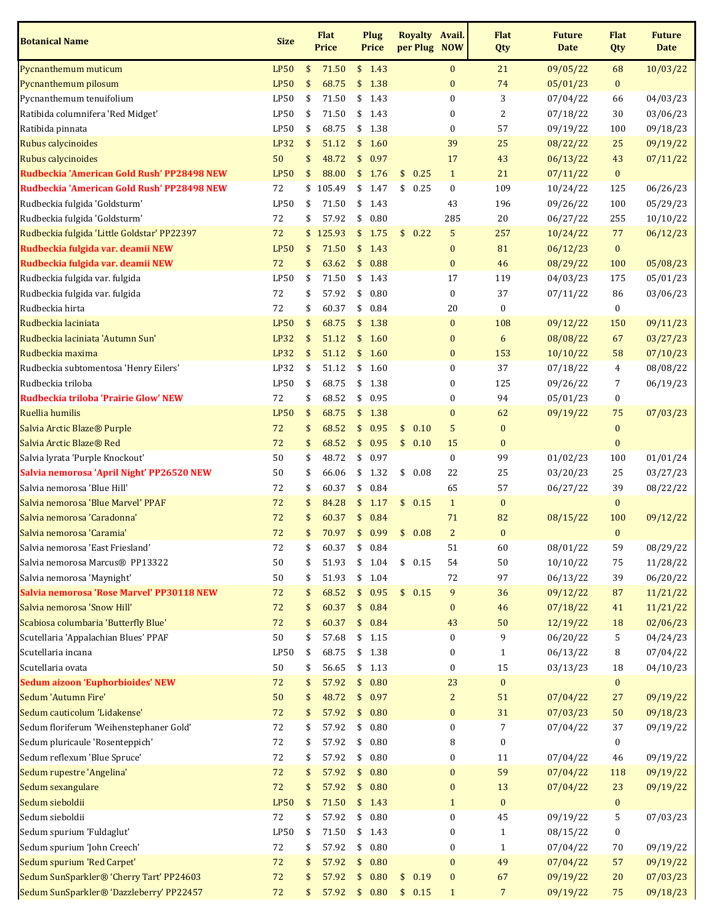| <b>Botanical Name</b>                       | <b>Size</b> | <b>Flat</b><br><b>Price</b> |               | <b>Plug</b><br><b>Price</b> | Royalty Avail.<br>per Plug NOW |                               | <b>Flat</b><br>Qty | <b>Future</b><br><b>Date</b> | <b>Flat</b><br>Qty | <b>Future</b><br><b>Date</b> |
|---------------------------------------------|-------------|-----------------------------|---------------|-----------------------------|--------------------------------|-------------------------------|--------------------|------------------------------|--------------------|------------------------------|
| Pycnanthemum muticum                        | <b>LP50</b> | \$<br>71.50                 |               | \$1.43                      |                                | $\pmb{0}$                     | 21                 | 09/05/22                     | 68                 | 10/03/22                     |
| Pycnanthemum pilosum                        | <b>LP50</b> | \$<br>68.75                 | \$            | 1.38                        |                                | $\bf{0}$                      | 74                 | 05/01/23                     | $\bf{0}$           |                              |
| Pycnanthemum tenuifolium                    | LP50        | \$<br>71.50                 | \$            | 1.43                        |                                | $\pmb{0}$                     | 3                  | 07/04/22                     | 66                 | 04/03/23                     |
| Ratibida columnifera 'Red Midget'           | LP50        | \$<br>71.50                 | \$            | 1.43                        |                                | $\boldsymbol{0}$              | 2                  | 07/18/22                     | 30                 | 03/06/23                     |
| Ratibida pinnata                            | LP50        | \$<br>68.75                 | \$            | 1.38                        |                                | $\boldsymbol{0}$              | 57                 | 09/19/22                     | 100                | 09/18/23                     |
| Rubus calycinoides                          | LP32        | \$<br>51.12                 | \$            | 1.60                        |                                | 39                            | 25                 | 08/22/22                     | 25                 | 09/19/22                     |
| Rubus calycinoides                          | 50          | \$<br>48.72                 | \$            | 0.97                        |                                | 17                            | 43                 | 06/13/22                     | 43                 | 07/11/22                     |
| Rudbeckia 'American Gold Rush' PP28498 NEW  | <b>LP50</b> | \$<br>88.00                 |               | \$1.76                      | 0.25<br>\$                     | $\mathbf{1}$                  | 21                 | 07/11/22                     | $\bf{0}$           |                              |
| Rudbeckia 'American Gold Rush' PP28498 NEW  | 72          | \$105.49                    |               | \$1.47                      | \$<br>0.25                     | $\boldsymbol{0}$              | 109                | 10/24/22                     | 125                | 06/26/23                     |
| Rudbeckia fulgida 'Goldsturm'               | LP50        | \$<br>71.50                 | \$            | 1.43                        |                                | 43                            | 196                | 09/26/22                     | 100                | 05/29/23                     |
| Rudbeckia fulgida 'Goldsturm'               | 72          | \$<br>57.92                 | \$            | 0.80                        |                                | 285                           | 20                 | 06/27/22                     | 255                | 10/10/22                     |
| Rudbeckia fulgida 'Little Goldstar' PP22397 | 72          | \$<br>125.93                | \$            | 1.75                        | 0.22<br>\$                     | $\sqrt{5}$                    | 257                | 10/24/22                     | 77                 | 06/12/23                     |
| Rudbeckia fulgida var. deamii NEW           | <b>LP50</b> | \$<br>71.50                 | \$            | 1.43                        |                                | $\bf{0}$                      | 81                 | 06/12/23                     | $\bf{0}$           |                              |
| Rudbeckia fulgida var. deamii NEW           | 72          | \$<br>63.62                 |               | \$0.88                      |                                | $\bf{0}$                      | 46                 | 08/29/22                     | 100                | 05/08/23                     |
| Rudbeckia fulgida var. fulgida              | LP50        | \$<br>71.50                 | \$            | 1.43                        |                                | 17                            | 119                | 04/03/23                     | 175                | 05/01/23                     |
| Rudbeckia fulgida var. fulgida              | 72          | \$<br>57.92                 | \$            | 0.80                        |                                | $\boldsymbol{0}$              | 37                 | 07/11/22                     | 86                 | 03/06/23                     |
| Rudbeckia hirta                             | 72          | \$<br>60.37                 | \$            | 0.84                        |                                | 20                            | 0                  |                              | 0                  |                              |
| Rudbeckia laciniata                         | <b>LP50</b> | \$<br>68.75                 | \$            | 1.38                        |                                | $\boldsymbol{0}$              | 108                | 09/12/22                     | 150                | 09/11/23                     |
| Rudbeckia laciniata 'Autumn Sun'            | LP32        | \$<br>51.12                 | \$            | 1.60                        |                                | $\bf{0}$                      | 6                  | 08/08/22                     | 67                 | 03/27/23                     |
| Rudbeckia maxima                            | LP32        | \$<br>51.12                 | \$            | 1.60                        |                                | $\bf{0}$                      | 153                | 10/10/22                     | 58                 | 07/10/23                     |
| Rudbeckia subtomentosa 'Henry Eilers'       | LP32        | \$<br>51.12                 |               | \$1.60                      |                                | $\boldsymbol{0}$              | 37                 | 07/18/22                     | 4                  | 08/08/22                     |
| Rudbeckia triloba                           | LP50        | \$<br>68.75                 | \$            | 1.38                        |                                | 0                             | 125                | 09/26/22                     | 7                  | 06/19/23                     |
| Rudbeckia triloba 'Prairie Glow' NEW        | 72          | \$<br>68.52                 | \$            | 0.95                        |                                | $\boldsymbol{0}$              | 94                 | 05/01/23                     | 0                  |                              |
| Ruellia humilis                             | <b>LP50</b> | \$<br>68.75                 | \$            | 1.38                        |                                | $\bf{0}$                      | 62                 | 09/19/22                     | 75                 | 07/03/23                     |
| Salvia Arctic Blaze® Purple                 | 72          | \$<br>68.52                 | \$            | 0.95                        | \$<br>0.10                     | 5                             | $\mathbf{0}$       |                              | $\bf{0}$           |                              |
| Salvia Arctic Blaze® Red                    | 72          | \$<br>68.52                 | \$            | 0.95                        | \$<br>0.10                     | 15                            | $\bf{0}$           |                              | $\bf{0}$           |                              |
| Salvia lyrata 'Purple Knockout'             | 50          | \$<br>48.72                 | \$            | 0.97                        |                                | $\boldsymbol{0}$              | 99                 | 01/02/23                     | 100                | 01/01/24                     |
| Salvia nemorosa 'April Night' PP26520 NEW   | 50          | \$<br>66.06                 |               | \$1.32                      | \$0.08                         | 22                            | 25                 | 03/20/23                     | 25                 | 03/27/23                     |
| Salvia nemorosa 'Blue Hill'                 | 72          | \$<br>60.37                 | \$            | 0.84                        |                                | 65                            | 57                 | 06/27/22                     | 39                 | 08/22/22                     |
| Salvia nemorosa 'Blue Marvel' PPAF          | 72          | \$<br>84.28                 | \$            | 1.17                        | \$0.15                         | $\mathbf{1}$                  | $\bf{0}$           |                              | $\bf{0}$           |                              |
| Salvia nemorosa 'Caradonna'                 | 72          | \$<br>60.37                 | \$            | 0.84                        |                                | 71                            | 82                 | 08/15/22                     | 100                | 09/12/22                     |
| Salvia nemorosa 'Caramia'                   | 72          | \$<br>70.97                 | \$            | 0.99                        | \$<br>0.08                     | $\overline{2}$                | $\mathbf{0}$       |                              | $\bf{0}$           |                              |
| Salvia nemorosa 'East Friesland'            | 72          | \$<br>60.37                 |               | \$0.84                      |                                | 51                            | 60                 | 08/01/22                     | 59                 | 08/29/22                     |
| Salvia nemorosa Marcus® PP13322             | 50          | \$<br>51.93                 | \$            | 1.04                        | \$0.15                         | 54                            | 50                 | 10/10/22                     | 75                 | 11/28/22                     |
| Salvia nemorosa 'Maynight'                  | 50          | \$<br>51.93                 | \$            | 1.04                        |                                | 72                            | 97                 | 06/13/22                     | 39                 | 06/20/22                     |
| Salvia nemorosa 'Rose Marvel' PP30118 NEW   | 72          | \$<br>68.52                 | $\frac{1}{2}$ | 0.95                        | \$0.15                         | 9                             | 36                 | 09/12/22                     | 87                 | 11/21/22                     |
| Salvia nemorosa 'Snow Hill'                 | 72          | \$<br>60.37                 | \$            | 0.84                        |                                | $\bf{0}$                      | 46                 | 07/18/22                     | 41                 | 11/21/22                     |
| Scabiosa columbaria 'Butterfly Blue'        | 72          | \$<br>60.37                 | \$            | 0.84                        |                                | 43                            | 50                 | 12/19/22                     | 18                 | 02/06/23                     |
| Scutellaria 'Appalachian Blues' PPAF        | 50          | \$<br>57.68                 | \$            | 1.15                        |                                | $\boldsymbol{0}$              | 9                  | 06/20/22                     | 5                  | 04/24/23                     |
| Scutellaria incana                          | LP50        | \$<br>68.75                 | \$            | 1.38                        |                                | $\boldsymbol{0}$              | $\mathbf{1}$       | 06/13/22                     | 8                  | 07/04/22                     |
| Scutellaria ovata                           | 50          | \$<br>56.65                 | \$            | 1.13                        |                                | $\boldsymbol{0}$              | 15                 | 03/13/23                     | 18                 | 04/10/23                     |
| <b>Sedum aizoon 'Euphorbioides' NEW</b>     | 72          | \$<br>57.92                 | \$            | 0.80                        |                                | 23                            | $\bf{0}$           |                              | $\bf{0}$           |                              |
| Sedum 'Autumn Fire'                         | 50          | \$<br>48.72                 | \$            | 0.97                        |                                | $\overline{c}$                | 51                 | 07/04/22                     | 27                 | 09/19/22                     |
| Sedum cauticolum 'Lidakense'                | 72          | 57.92                       | \$            | 0.80                        |                                |                               | 31                 |                              |                    |                              |
| Sedum floriferum 'Weihenstephaner Gold'     | 72          | \$<br>57.92                 |               | 0.80                        |                                | $\pmb{0}$<br>$\boldsymbol{0}$ | 7                  | 07/03/23                     | 50<br>37           | 09/18/23                     |
| Sedum pluricaule 'Rosenteppich'             | 72          | \$<br>57.92                 | \$            | 0.80                        |                                |                               |                    | 07/04/22                     |                    | 09/19/22                     |
|                                             |             | \$                          | \$            |                             |                                | 8                             | 0                  |                              | 0                  |                              |
| Sedum reflexum 'Blue Spruce'                | 72          | \$<br>57.92                 | \$            | 0.80                        |                                | $\boldsymbol{0}$              | 11                 | 07/04/22                     | 46                 | 09/19/22                     |
| Sedum rupestre 'Angelina'                   | 72          | \$<br>57.92                 | \$            | 0.80                        |                                | $\bf{0}$                      | 59                 | 07/04/22                     | 118                | 09/19/22                     |
| Sedum sexangulare                           | 72          | \$<br>57.92                 | \$            | 0.80                        |                                | $\bf{0}$                      | 13                 | 07/04/22                     | 23                 | 09/19/22                     |
| Sedum sieboldii                             | <b>LP50</b> | \$<br>71.50                 | \$            | 1.43                        |                                | $\mathbf{1}$                  | $\mathbf{0}$       |                              | $\bf{0}$           |                              |
| Sedum sieboldii                             | 72          | \$<br>57.92                 | \$            | 0.80                        |                                | $\pmb{0}$                     | 45                 | 09/19/22                     | 5                  | 07/03/23                     |
| Sedum spurium 'Fuldaglut'                   | LP50        | \$<br>71.50                 | \$            | 1.43                        |                                | $\boldsymbol{0}$              | $\mathbf{1}$       | 08/15/22                     | 0                  |                              |
| Sedum spurium 'John Creech'                 | 72          | \$<br>57.92                 | \$            | 0.80                        |                                | $\boldsymbol{0}$              | $\mathbf{1}$       | 07/04/22                     | 70                 | 09/19/22                     |
| Sedum spurium 'Red Carpet'                  | 72          | \$<br>57.92                 | \$            | 0.80                        |                                | $\pmb{0}$                     | 49                 | 07/04/22                     | 57                 | 09/19/22                     |
| Sedum SunSparkler® 'Cherry Tart' PP24603    | 72          | \$<br>57.92                 | \$            | 0.80                        | \$<br>0.19                     | $\bf{0}$                      | 67                 | 09/19/22                     | 20                 | 07/03/23                     |
| Sedum SunSparkler® 'Dazzleberry' PP22457    | 72          | \$<br>57.92                 |               | \$0.80                      | \$0.15                         | $\mathbf{1}$                  | $7\phantom{.}$     | 09/19/22                     | 75                 | 09/18/23                     |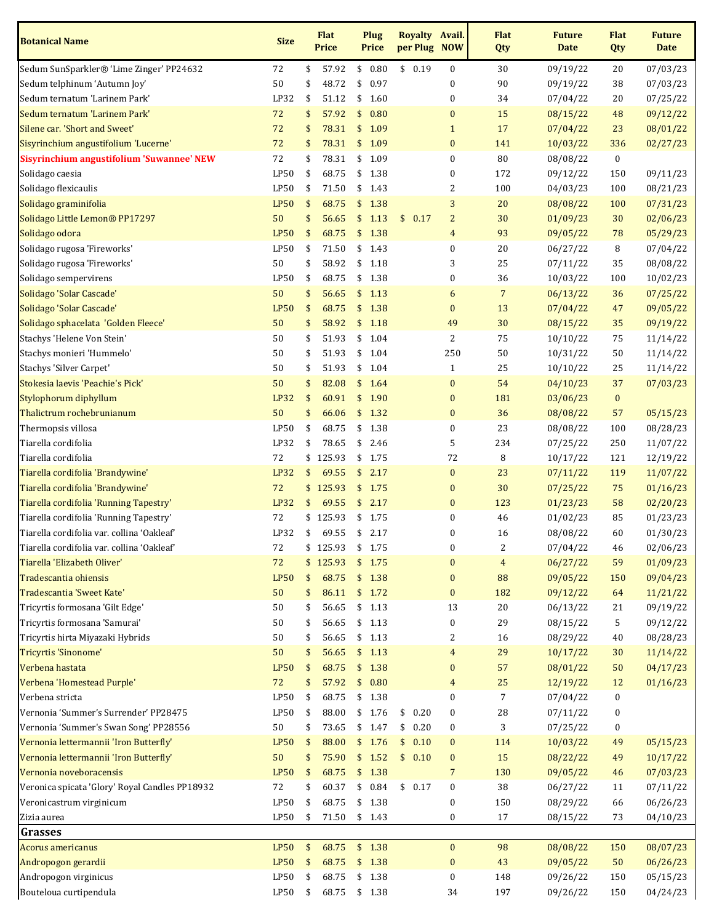| <b>Botanical Name</b>                          | <b>Size</b> | <b>Flat</b><br><b>Price</b> |               | Plug<br><b>Price</b> |        |      | <b>Royalty Avail.</b><br>per Plug NOW | <b>Flat</b><br>Qty      | <b>Future</b><br><b>Date</b> | <b>Flat</b><br>Qty | <b>Future</b><br><b>Date</b> |
|------------------------------------------------|-------------|-----------------------------|---------------|----------------------|--------|------|---------------------------------------|-------------------------|------------------------------|--------------------|------------------------------|
| Sedum SunSparkler® 'Lime Zinger' PP24632       | 72          | \$<br>57.92                 |               | \$0.80               | \$0.19 |      | $\boldsymbol{0}$                      | 30                      | 09/19/22                     | 20                 | 07/03/23                     |
| Sedum telphinum 'Autumn Joy'                   | 50          | \$<br>48.72                 | \$            | 0.97                 |        |      | 0                                     | 90                      | 09/19/22                     | 38                 | 07/03/23                     |
| Sedum ternatum 'Larinem Park'                  | LP32        | \$<br>51.12                 | \$            | 1.60                 |        |      | 0                                     | 34                      | 07/04/22                     | 20                 | 07/25/22                     |
| Sedum ternatum 'Larinem Park'                  | 72          | \$<br>57.92                 | \$            | 0.80                 |        |      | $\pmb{0}$                             | 15                      | 08/15/22                     | 48                 | 09/12/22                     |
| Silene car. 'Short and Sweet'                  | 72          | \$<br>78.31                 | \$            | 1.09                 |        |      | $\mathbf{1}$                          | 17                      | 07/04/22                     | 23                 | 08/01/22                     |
| Sisyrinchium angustifolium 'Lucerne'           | 72          | \$<br>78.31                 |               | \$1.09               |        |      | $\pmb{0}$                             | 141                     | 10/03/22                     | 336                | 02/27/23                     |
| Sisyrinchium angustifolium 'Suwannee' NEW      | 72          | \$<br>78.31                 |               | \$1.09               |        |      | $\boldsymbol{0}$                      | 80                      | 08/08/22                     | $\bf{0}$           |                              |
| Solidago caesia                                | <b>LP50</b> | \$<br>68.75                 | \$            | 1.38                 |        |      | 0                                     | 172                     | 09/12/22                     | 150                | 09/11/23                     |
| Solidago flexicaulis                           | LP50        | \$<br>71.50                 | \$            | 1.43                 |        |      | 2                                     | 100                     | 04/03/23                     | 100                | 08/21/23                     |
| Solidago graminifolia                          | <b>LP50</b> | \$<br>68.75                 | \$            | 1.38                 |        |      | $\sqrt{3}$                            | 20                      | 08/08/22                     | 100                | 07/31/23                     |
| Solidago Little Lemon® PP17297                 | 50          | \$<br>56.65                 | $\frac{1}{2}$ | 1.13                 | \$0.17 |      | $\overline{c}$                        | 30                      | 01/09/23                     | 30                 | 02/06/23                     |
| Solidago odora                                 | <b>LP50</b> | \$<br>68.75                 | \$            | 1.38                 |        |      | $\overline{4}$                        | 93                      | 09/05/22                     | 78                 | 05/29/23                     |
| Solidago rugosa 'Fireworks'                    | LP50        | \$<br>71.50                 | \$            | 1.43                 |        |      | $\pmb{0}$                             | 20                      | 06/27/22                     | 8                  | 07/04/22                     |
| Solidago rugosa 'Fireworks'                    | 50          | \$<br>58.92                 |               | \$1.18               |        |      | 3                                     | 25                      | 07/11/22                     | 35                 | 08/08/22                     |
| Solidago sempervirens                          | LP50        | \$<br>68.75                 | \$            | 1.38                 |        |      | $\pmb{0}$                             | 36                      | 10/03/22                     | 100                | 10/02/23                     |
| Solidago 'Solar Cascade'                       | 50          | \$<br>56.65                 | \$            | 1.13                 |        |      | $\boldsymbol{6}$                      | $\overline{7}$          | 06/13/22                     | 36                 | 07/25/22                     |
| Solidago 'Solar Cascade'                       | <b>LP50</b> | \$<br>68.75                 | \$            | 1.38                 |        |      | $\bf{0}$                              | 13                      | 07/04/22                     | 47                 | 09/05/22                     |
| Solidago sphacelata 'Golden Fleece'            | 50          | \$<br>58.92                 | \$            | 1.18                 |        |      | 49                                    | 30                      | 08/15/22                     | 35                 | 09/19/22                     |
| Stachys 'Helene Von Stein'                     | 50          | \$<br>51.93                 | \$            | 1.04                 |        |      | $\overline{c}$                        | 75                      | 10/10/22                     | 75                 | 11/14/22                     |
| Stachys monieri 'Hummelo'                      | 50          | \$<br>51.93                 |               | \$1.04               |        |      | 250                                   | 50                      | 10/31/22                     | 50                 | 11/14/22                     |
| Stachys 'Silver Carpet'                        | 50          | \$<br>51.93                 |               | \$1.04               |        |      | $\mathbf{1}$                          | 25                      | 10/10/22                     | 25                 | 11/14/22                     |
| Stokesia laevis 'Peachie's Pick'               | 50          | \$<br>82.08                 |               | \$1.64               |        |      | $\bf{0}$                              | 54                      | 04/10/23                     | 37                 | 07/03/23                     |
| Stylophorum diphyllum                          | LP32        | \$<br>60.91                 | \$            | 1.90                 |        |      | $\bf{0}$                              | 181                     | 03/06/23                     | $\bf{0}$           |                              |
| Thalictrum rochebrunianum                      | 50          | \$<br>66.06                 | \$            | 1.32                 |        |      | $\bf{0}$                              | 36                      | 08/08/22                     | 57                 | 05/15/23                     |
| Thermopsis villosa                             | LP50        | \$<br>68.75                 | \$            | 1.38                 |        |      | $\pmb{0}$                             | 23                      | 08/08/22                     | 100                | 08/28/23                     |
| Tiarella cordifolia                            | LP32        | \$<br>78.65                 | \$            | 2.46                 |        |      | 5                                     | 234                     | 07/25/22                     | 250                | 11/07/22                     |
| Tiarella cordifolia                            | 72          | \$<br>125.93                |               | \$1.75               |        |      | 72                                    | 8                       | 10/17/22                     | 121                | 12/19/22                     |
| Tiarella cordifolia 'Brandywine'               | <b>LP32</b> | \$<br>69.55                 | \$            | 2.17                 |        |      | $\bf{0}$                              | 23                      | 07/11/22                     | 119                | 11/07/22                     |
| Tiarella cordifolia 'Brandywine'               | 72          | \$125.93                    |               | \$1.75               |        |      | $\bf{0}$                              | 30                      | 07/25/22                     | 75                 | 01/16/23                     |
| Tiarella cordifolia 'Running Tapestry'         | LP32        | \$<br>69.55                 | \$            | 2.17                 |        |      | $\bf{0}$                              | 123                     | 01/23/23                     | 58                 | 02/20/23                     |
| Tiarella cordifolia 'Running Tapestry'         | 72          | \$<br>125.93                | \$            | 1.75                 |        |      | $\boldsymbol{0}$                      | 46                      | 01/02/23                     | 85                 | 01/23/23                     |
| Tiarella cordifolia var. collina 'Oakleaf'     | LP32        | \$<br>69.55                 | \$            | 2.17                 |        |      | 0                                     | 16                      | 08/08/22                     | 60                 | 01/30/23                     |
| Tiarella cordifolia var. collina 'Oakleaf'     | 72          | \$125.93                    | \$            | 1.75                 |        |      | 0                                     | $\overline{\mathbf{c}}$ | 07/04/22                     | $\sqrt{46}$        | 02/06/23                     |
| Tiarella 'Elizabeth Oliver'                    | 72          | \$<br>125.93                | \$            | 1.75                 |        |      | $\bf{0}$                              | $\overline{4}$          | 06/27/22                     | 59                 | 01/09/23                     |
| Tradescantia ohiensis                          | <b>LP50</b> | \$<br>68.75                 |               | \$1.38               |        |      | $\bf{0}$                              | 88                      | 09/05/22                     | 150                | 09/04/23                     |
| Tradescantia 'Sweet Kate'                      | 50          | \$<br>86.11                 |               | \$1.72               |        |      | $\pmb{0}$                             | 182                     | 09/12/22                     | 64                 | 11/21/22                     |
| Tricyrtis formosana 'Gilt Edge'                | 50          | \$<br>56.65                 |               | \$1.13               |        |      | 13                                    | 20                      | 06/13/22                     | 21                 | 09/19/22                     |
| Tricyrtis formosana 'Samurai'                  | 50          | \$<br>56.65                 | \$            | 1.13                 |        |      | $\pmb{0}$                             | 29                      | 08/15/22                     | 5                  | 09/12/22                     |
| Tricyrtis hirta Miyazaki Hybrids               | 50          | \$<br>56.65                 |               | \$1.13               |        |      | 2                                     | 16                      | 08/29/22                     | 40                 | 08/28/23                     |
| Tricyrtis 'Sinonome'                           | 50          | \$<br>56.65                 | \$            | 1.13                 |        |      | $\overline{4}$                        | 29                      | 10/17/22                     | 30                 | 11/14/22                     |
| Verbena hastata                                | <b>LP50</b> | \$<br>68.75                 |               | \$1.38               |        |      | $\bf{0}$                              | 57                      | 08/01/22                     | 50                 | 04/17/23                     |
| Verbena 'Homestead Purple'                     | 72          | \$<br>57.92                 |               | \$0.80               |        |      | $\overline{4}$                        | 25                      | 12/19/22                     | 12                 | 01/16/23                     |
| Verbena stricta                                | LP50        | \$<br>68.75                 |               | \$1.38               |        |      | 0                                     | 7                       | 07/04/22                     | $\bf{0}$           |                              |
| Vernonia 'Summer's Surrender' PP28475          | LP50        | \$<br>88.00                 |               | \$1.76               | \$0.20 |      | 0                                     | 28                      | 07/11/22                     | 0                  |                              |
| Vernonia 'Summer's Swan Song' PP28556          | 50          | \$<br>73.65                 |               | \$1.47               | \$     | 0.20 | 0                                     | 3                       | 07/25/22                     | $\boldsymbol{0}$   |                              |
| Vernonia lettermannii 'Iron Butterfly'         | <b>LP50</b> | \$<br>88.00                 |               | \$1.76               | \$     | 0.10 | $\bf{0}$                              | 114                     | 10/03/22                     | 49                 | 05/15/23                     |
| Vernonia lettermannii 'Iron Butterfly'         | 50          | \$<br>75.90                 |               | \$1.52               | \$0.10 |      | $\pmb{0}$                             | 15                      | 08/22/22                     | 49                 | 10/17/22                     |
| Vernonia noveboracensis                        | <b>LP50</b> | \$<br>68.75                 |               | \$1.38               |        |      | $\overline{7}$                        | 130                     | 09/05/22                     | 46                 | 07/03/23                     |
| Veronica spicata 'Glory' Royal Candles PP18932 | 72          | \$<br>60.37                 | \$            | 0.84                 | \$0.17 |      | $\boldsymbol{0}$                      | 38                      | 06/27/22                     | 11                 | 07/11/22                     |
| Veronicastrum virginicum                       | LP50        | \$<br>68.75                 |               | \$1.38               |        |      | 0                                     | 150                     | 08/29/22                     | 66                 | 06/26/23                     |
| Zizia aurea                                    | LP50        | \$<br>71.50                 |               | \$1.43               |        |      | 0                                     | 17                      | 08/15/22                     | 73                 | 04/10/23                     |
| <b>Grasses</b>                                 |             |                             |               |                      |        |      |                                       |                         |                              |                    |                              |
| <b>Acorus americanus</b>                       | <b>LP50</b> | \$<br>68.75                 |               | \$1.38               |        |      | $\boldsymbol{0}$                      | 98                      | 08/08/22                     | 150                | 08/07/23                     |
| Andropogon gerardii                            | <b>LP50</b> | \$<br>68.75                 | \$            | 1.38                 |        |      | $\bf{0}$                              | 43                      | 09/05/22                     | 50                 | 06/26/23                     |
| Andropogon virginicus                          | LP50        | \$<br>68.75                 | \$            | 1.38                 |        |      | 0                                     | 148                     | 09/26/22                     | 150                | 05/15/23                     |
| Bouteloua curtipendula                         | LP50        | \$<br>68.75                 |               | \$1.38               |        |      | 34                                    | 197                     | 09/26/22                     | 150                | 04/24/23                     |
|                                                |             |                             |               |                      |        |      |                                       |                         |                              |                    |                              |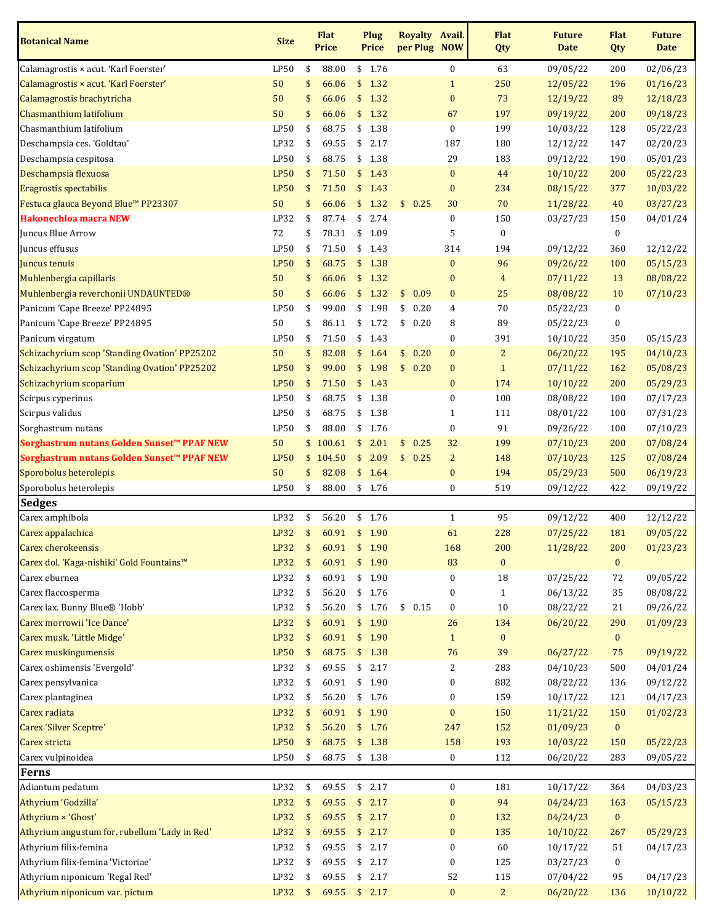| <b>Botanical Name</b>                         | <b>Size</b> |            | <b>Flat</b><br><b>Price</b> |               | Plug<br><b>Price</b> | Royalty Avail.<br>per Plug NOW |                  | <b>Flat</b><br>Qty | <b>Future</b><br><b>Date</b> | <b>Flat</b><br>Qty | <b>Future</b><br><b>Date</b> |
|-----------------------------------------------|-------------|------------|-----------------------------|---------------|----------------------|--------------------------------|------------------|--------------------|------------------------------|--------------------|------------------------------|
| Calamagrostis × acut. 'Karl Foerster'         | LP50        | \$         | 88.00                       |               | \$1.76               |                                | $\boldsymbol{0}$ | 63                 | 09/05/22                     | 200                | 02/06/23                     |
| Calamagrostis × acut. 'Karl Foerster'         | 50          | \$         | 66.06                       | \$            | 1.32                 |                                | $\mathbf{1}$     | 250                | 12/05/22                     | 196                | 01/16/23                     |
| Calamagrostis brachytricha                    | 50          | \$         | 66.06                       | \$            | 1.32                 |                                | $\pmb{0}$        | 73                 | 12/19/22                     | 89                 | 12/18/23                     |
| Chasmanthium latifolium                       | 50          | \$         | 66.06                       | \$            | 1.32                 |                                | 67               | 197                | 09/19/22                     | 200                | 09/18/23                     |
| Chasmanthium latifolium                       | LP50        | \$         | 68.75                       | \$            | 1.38                 |                                | $\pmb{0}$        | 199                | 10/03/22                     | 128                | 05/22/23                     |
| Deschampsia ces. 'Goldtau'                    | LP32        | \$         | 69.55                       | \$            | 2.17                 |                                | 187              | 180                | 12/12/22                     | 147                | 02/20/23                     |
| Deschampsia cespitosa                         | LP50        | \$         | 68.75                       | \$            | 1.38                 |                                | 29               | 183                | 09/12/22                     | 190                | 05/01/23                     |
| Deschampsia flexuosa                          | <b>LP50</b> | \$         | 71.50                       | \$            | 1.43                 |                                | $\bf{0}$         | 44                 | 10/10/22                     | 200                | 05/22/23                     |
| Eragrostis spectabilis                        | <b>LP50</b> | \$         | 71.50                       | \$            | 1.43                 |                                | $\bf{0}$         | 234                | 08/15/22                     | 377                | 10/03/22                     |
| Festuca glauca Beyond Blue™ PP23307           | 50          | \$         | 66.06                       | \$            | 1.32                 | 0.25<br>\$                     | 30               | 70                 | 11/28/22                     | 40                 | 03/27/23                     |
| <b>Hakonechloa macra NEW</b>                  | LP32        | \$         | 87.74                       | \$            | 2.74                 |                                | $\pmb{0}$        | 150                | 03/27/23                     | 150                | 04/01/24                     |
| Juncus Blue Arrow                             | 72          | \$         | 78.31                       | \$            | 1.09                 |                                | 5                | $\boldsymbol{0}$   |                              | 0                  |                              |
| Juncus effusus                                | LP50        | \$         | 71.50                       | \$            | 1.43                 |                                | 314              | 194                | 09/12/22                     | 360                | 12/12/22                     |
| Juncus tenuis                                 | <b>LP50</b> | \$         | 68.75                       | \$            | 1.38                 |                                | $\bf{0}$         | 96                 | 09/26/22                     | 100                | 05/15/23                     |
| Muhlenbergia capillaris                       | 50          | \$         | 66.06                       | \$            | 1.32                 |                                | $\bf{0}$         | $\overline{4}$     | 07/11/22                     | 13                 | 08/08/22                     |
| Muhlenbergia reverchonii UNDAUNTED®           | 50          | \$         | 66.06                       |               | \$1.32               | \$<br>0.09                     | $\bf{0}$         | 25                 | 08/08/22                     | 10                 | 07/10/23                     |
| Panicum 'Cape Breeze' PP24895                 | LP50        | \$         | 99.00                       | \$            | 1.98                 | \$<br>0.20                     | $\overline{4}$   | 70                 | 05/22/23                     | 0                  |                              |
| Panicum 'Cape Breeze' PP24895                 | 50          | \$         | 86.11                       | \$            | 1.72                 | \$<br>0.20                     | 8                | 89                 | 05/22/23                     | $\boldsymbol{0}$   |                              |
| Panicum virgatum                              | LP50        | \$         | 71.50                       | \$            | 1.43                 |                                | $\boldsymbol{0}$ | 391                | 10/10/22                     | 350                | 05/15/23                     |
| Schizachyrium scop 'Standing Ovation' PP25202 | 50          | \$         | 82.08                       | \$            | 1.64                 | \$<br>0.20                     | $\bf{0}$         | $\overline{c}$     | 06/20/22                     | 195                | 04/10/23                     |
| Schizachyrium scop 'Standing Ovation' PP25202 | <b>LP50</b> | \$         | 99.00                       | $\frac{1}{2}$ | 1.98                 | \$0.20                         | $\bf{0}$         | $\mathbf{1}$       | 07/11/22                     | 162                | 05/08/23                     |
| Schizachyrium scoparium                       | <b>LP50</b> | \$         | 71.50                       | \$            | 1.43                 |                                | $\bf{0}$         | 174                | 10/10/22                     | 200                | 05/29/23                     |
| Scirpus cyperinus                             | LP50        | \$         | 68.75                       | \$            | 1.38                 |                                | $\boldsymbol{0}$ | 100                | 08/08/22                     | 100                | 07/17/23                     |
| Scirpus validus                               | LP50        | \$         | 68.75                       | \$            | 1.38                 |                                | $\mathbf{1}$     | 111                | 08/01/22                     | 100                | 07/31/23                     |
| Sorghastrum nutans                            | LP50        | \$         | 88.00                       | \$            | 1.76                 |                                | $\pmb{0}$        | 91                 | 09/26/22                     | 100                | 07/10/23                     |
| Sorghastrum nutans Golden Sunset™ PPAF NEW    | 50          | \$         | 100.61                      | \$            | 2.01                 | \$<br>0.25                     | 32               | 199                | 07/10/23                     | 200                | 07/08/24                     |
| Sorghastrum nutans Golden Sunset™ PPAF NEW    | <b>LP50</b> |            | \$104.50                    | \$            | 2.09                 | \$0.25                         | $\overline{2}$   | 148                | 07/10/23                     | 125                | 07/08/24                     |
| Sporobolus heterolepis                        | 50          | \$         | 82.08                       |               | \$1.64               |                                | $\bf{0}$         | 194                | 05/29/23                     | 500                | 06/19/23                     |
| Sporobolus heterolepis                        | LP50        | \$         | 88.00                       |               | \$1.76               |                                | $\boldsymbol{0}$ | 519                | 09/12/22                     | 422                | 09/19/22                     |
| <b>Sedges</b>                                 |             |            |                             |               |                      |                                |                  |                    |                              |                    |                              |
| Carex amphibola                               | LP32        | \$         | 56.20                       | \$            | 1.76                 |                                | $\mathbf{1}$     | 95                 | 09/12/22                     | 400                | 12/12/22                     |
| Carex appalachica                             | <b>LP32</b> | \$         | 60.91                       | $\sqrt{5}$    | 1.90                 |                                | 61               | 228                | 07/25/22                     | 181                | 09/05/22                     |
| <b>Carex cherokeensis</b>                     | LP32        | $\sqrt{5}$ | 60.91                       |               | \$1.90               |                                | 168              | 200                | 11/28/22                     | 200                | 01/23/23                     |
| Carex dol. 'Kaga-nishiki' Gold Fountains™     | <b>LP32</b> | \$         | 60.91                       | \$            | 1.90                 |                                | 83               | $\bf{0}$           |                              | $\bf{0}$           |                              |
| Carex eburnea                                 | LP32        | \$         | 60.91                       |               | \$1.90               |                                | $\boldsymbol{0}$ | $18\,$             | 07/25/22                     | 72                 | 09/05/22                     |
| Carex flaccosperma                            | LP32        | \$         | 56.20                       |               | \$1.76               |                                | $\boldsymbol{0}$ | $\mathbf{1}$       | 06/13/22                     | 35                 | 08/08/22                     |
| Carex lax. Bunny Blue® 'Hobb'                 | LP32        | \$         | 56.20                       |               | \$1.76               | \$0.15                         | $\pmb{0}$        | 10                 | 08/22/22                     | 21                 | 09/26/22                     |
| Carex morrowii 'Ice Dance'                    | LP32        | \$         | 60.91                       | \$            | 1.90                 |                                | 26               | 134                | 06/20/22                     | 290                | 01/09/23                     |
| Carex musk. 'Little Midge'                    | LP32        | \$         | 60.91                       | $\frac{1}{2}$ | 1.90                 |                                | $\mathbf{1}$     | $\bf{0}$           |                              | $\bf{0}$           |                              |
| Carex muskingumensis                          | <b>LP50</b> | \$         | 68.75                       | \$            | 1.38                 |                                | 76               | 39                 | 06/27/22                     | 75                 | 09/19/22                     |
| Carex oshimensis 'Evergold'                   | LP32        | \$         | 69.55                       | \$            | 2.17                 |                                | 2                | 283                | 04/10/23                     | 500                | 04/01/24                     |
| Carex pensylvanica                            | LP32        | \$         | 60.91                       |               | \$1.90               |                                | $\boldsymbol{0}$ | 882                | 08/22/22                     | 136                | 09/12/22                     |
| Carex plantaginea                             | LP32        | \$         | 56.20                       |               | \$1.76               |                                | $\boldsymbol{0}$ | 159                | 10/17/22                     | 121                | 04/17/23                     |
| Carex radiata                                 | <b>LP32</b> | \$         | 60.91                       | \$            | 1.90                 |                                | $\pmb{0}$        | 150                | 11/21/22                     | 150                | 01/02/23                     |
| <b>Carex 'Silver Sceptre'</b>                 | LP32        | \$         | 56.20                       | \$            | 1.76                 |                                | 247              | 152                | 01/09/23                     | $\bf{0}$           |                              |
| Carex stricta                                 | <b>LP50</b> | \$         | 68.75                       | $\frac{1}{2}$ | 1.38                 |                                | 158              | 193                | 10/03/22                     | 150                | 05/22/23                     |
| Carex vulpinoidea                             | LP50        | \$         | 68.75                       |               | \$1.38               |                                | $\bf{0}$         | 112                | 06/20/22                     | 283                | 09/05/22                     |
| Ferns                                         |             |            |                             |               |                      |                                |                  |                    |                              |                    |                              |
| Adiantum pedatum                              | LP32        | \$         | 69.55                       |               | \$2.17               |                                | $\bf{0}$         | 181                | 10/17/22                     | 364                | 04/03/23                     |
| Athyrium 'Godzilla'                           | LP32        | \$         | 69.55                       |               | \$2.17               |                                | $\pmb{0}$        | 94                 | 04/24/23                     | 163                | 05/15/23                     |
| Athyrium × 'Ghost'                            | LP32        | \$         | 69.55                       | \$            | 2.17                 |                                | $\bf{0}$         | 132                | 04/24/23                     | $\bf{0}$           |                              |
| Athyrium angustum for. rubellum 'Lady in Red' | LP32        | \$         | 69.55                       | \$            | 2.17                 |                                | $\pmb{0}$        | 135                | 10/10/22                     | 267                | 05/29/23                     |
| Athyrium filix-femina                         | LP32        | \$         | 69.55                       | \$            | 2.17                 |                                | $\pmb{0}$        | 60                 | 10/17/22                     | 51                 | 04/17/23                     |
| Athyrium filix-femina 'Victoriae'             | LP32        | \$         | 69.55                       | \$            | 2.17                 |                                | $\boldsymbol{0}$ | 125                | 03/27/23                     | 0                  |                              |
| Athyrium niponicum 'Regal Red'                | LP32        | \$         | 69.55                       | \$            | 2.17                 |                                | 52               | 115                | 07/04/22                     | 95                 | 04/17/23                     |
| Athyrium niponicum var. pictum                | $LP32$ \$   |            | 69.55 \$ 2.17               |               |                      |                                | $\mathbf{0}$     | $\overline{2}$     | 06/20/22                     | 136                | 10/10/22                     |
|                                               |             |            |                             |               |                      |                                |                  |                    |                              |                    |                              |